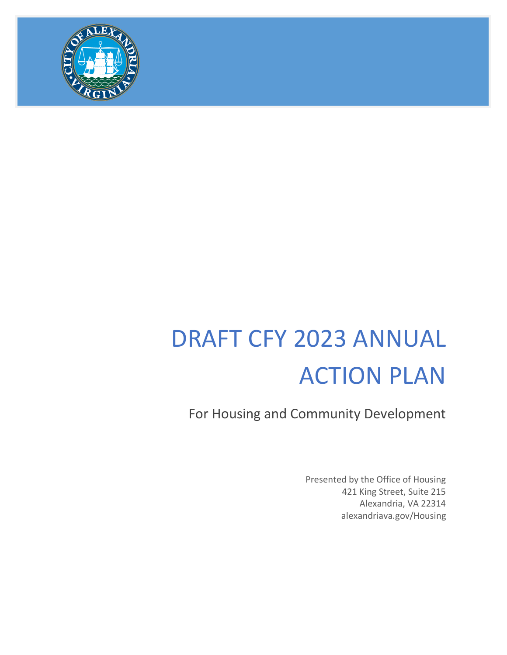

# DRAFT CFY 2023 ANNUAL ACTION PLAN

For Housing and Community Development

Presented by the Office of Housing 421 King Street, Suite 215 Alexandria, VA 22314 alexandriava.gov/Housing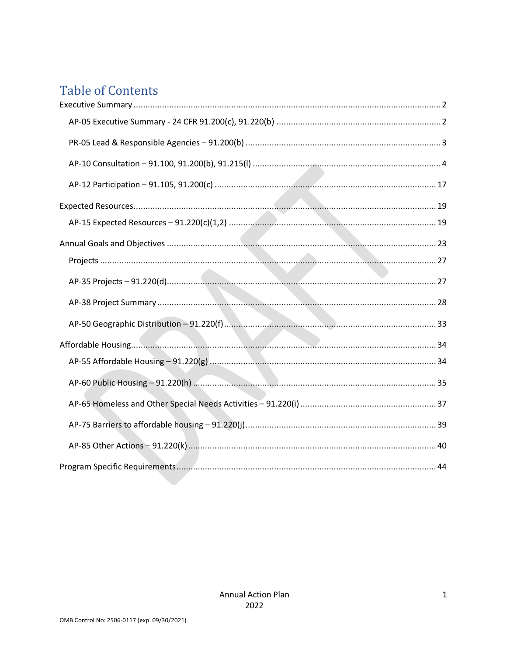# **Table of Contents**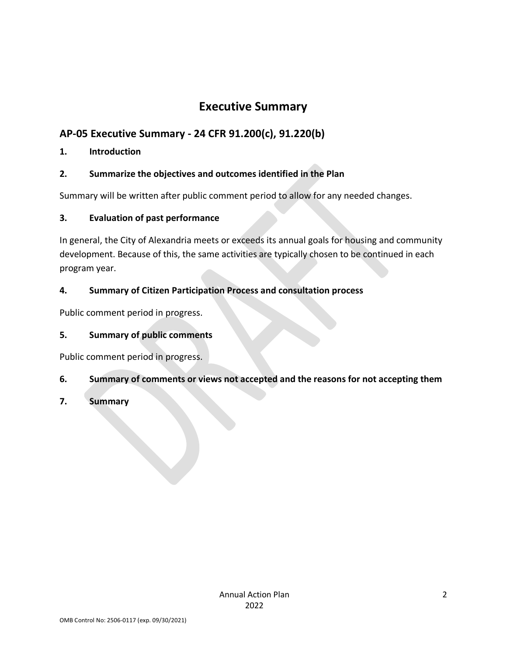# **Executive Summary**

## <span id="page-2-1"></span><span id="page-2-0"></span>**AP-05 Executive Summary - 24 CFR 91.200(c), 91.220(b)**

## **1. Introduction**

## **2. Summarize the objectives and outcomes identified in the Plan**

Summary will be written after public comment period to allow for any needed changes.

## **3. Evaluation of past performance**

In general, the City of Alexandria meets or exceeds its annual goals for housing and community development. Because of this, the same activities are typically chosen to be continued in each program year.

## **4. Summary of Citizen Participation Process and consultation process**

Public comment period in progress.

## **5. Summary of public comments**

Public comment period in progress.

## **6. Summary of comments or views not accepted and the reasons for not accepting them**

## **7. Summary**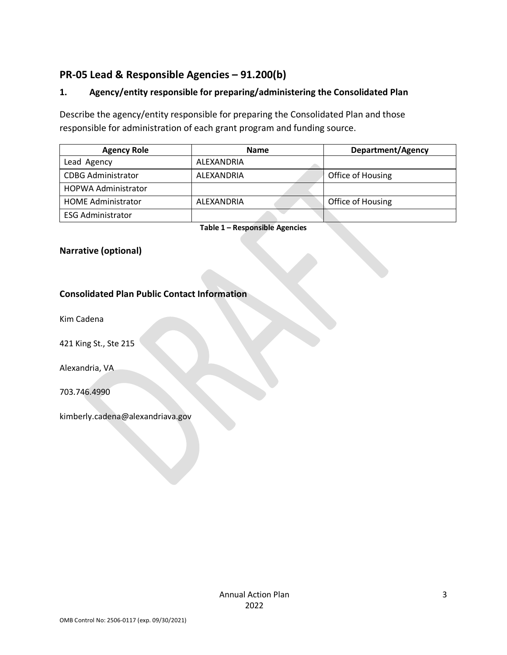## <span id="page-3-0"></span>**PR-05 Lead & Responsible Agencies – 91.200(b)**

## **1. Agency/entity responsible for preparing/administering the Consolidated Plan**

Describe the agency/entity responsible for preparing the Consolidated Plan and those responsible for administration of each grant program and funding source.

| <b>Agency Role</b>         | <b>Name</b> | <b>Department/Agency</b> |
|----------------------------|-------------|--------------------------|
| Lead Agency                | ALEXANDRIA  |                          |
| <b>CDBG Administrator</b>  | ALEXANDRIA  | Office of Housing        |
| <b>HOPWA Administrator</b> |             |                          |
| <b>HOME Administrator</b>  | ALEXANDRIA  | Office of Housing        |
| <b>ESG Administrator</b>   |             |                          |

**Table 1 – Responsible Agencies**

## **Narrative (optional)**

#### **Consolidated Plan Public Contact Information**

Kim Cadena

421 King St., Ste 215

Alexandria, VA

703.746.4990

kimberly.cadena@alexandriava.gov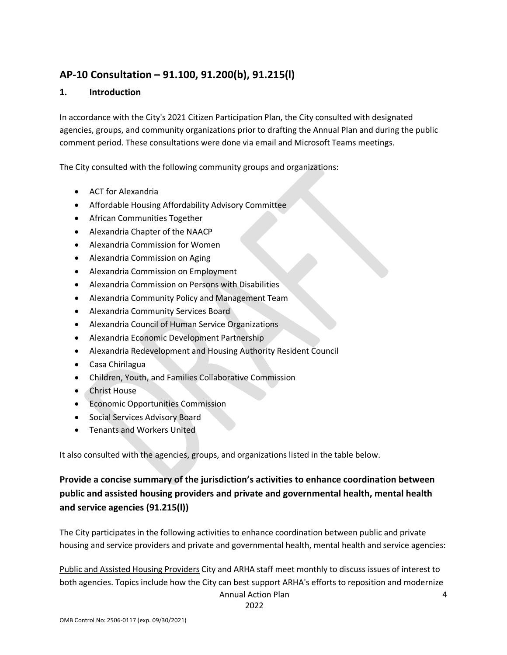## <span id="page-4-0"></span>**AP-10 Consultation – 91.100, 91.200(b), 91.215(l)**

#### **1. Introduction**

In accordance with the City's 2021 Citizen Participation Plan, the City consulted with designated agencies, groups, and community organizations prior to drafting the Annual Plan and during the public comment period. These consultations were done via email and Microsoft Teams meetings.

The City consulted with the following community groups and organizations:

- ACT for Alexandria
- Affordable Housing Affordability Advisory Committee
- African Communities Together
- Alexandria Chapter of the NAACP
- Alexandria Commission for Women
- Alexandria Commission on Aging
- Alexandria Commission on Employment
- Alexandria Commission on Persons with Disabilities
- Alexandria Community Policy and Management Team
- Alexandria Community Services Board
- Alexandria Council of Human Service Organizations
- Alexandria Economic Development Partnership
- Alexandria Redevelopment and Housing Authority Resident Council
- Casa Chirilagua
- Children, Youth, and Families Collaborative Commission
- Christ House
- Economic Opportunities Commission
- Social Services Advisory Board
- Tenants and Workers United

It also consulted with the agencies, groups, and organizations listed in the table below.

## **Provide a concise summary of the jurisdiction's activities to enhance coordination between public and assisted housing providers and private and governmental health, mental health and service agencies (91.215(l))**

The City participates in the following activities to enhance coordination between public and private housing and service providers and private and governmental health, mental health and service agencies:

Annual Action Plan Public and Assisted Housing Providers City and ARHA staff meet monthly to discuss issues of interest to both agencies. Topics include how the City can best support ARHA's efforts to reposition and modernize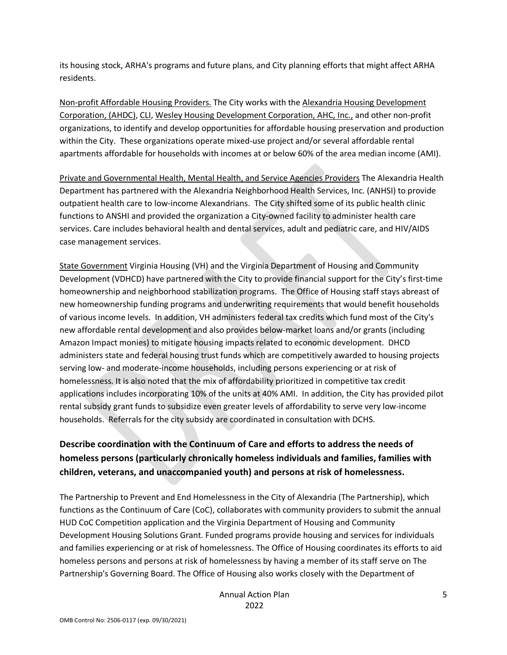its housing stock, ARHA's programs and future plans, and City planning efforts that might affect ARHA residents.

Non-profit Affordable Housing Providers. The City works with the Alexandria Housing Development Corporation, (AHDC), CLI, Wesley Housing Development Corporation, AHC, Inc., and other non-profit organizations, to identify and develop opportunities for affordable housing preservation and production within the City. These organizations operate mixed-use project and/or several affordable rental apartments affordable for households with incomes at or below 60% of the area median income (AMI).

Private and Governmental Health, Mental Health, and Service Agencies Providers The Alexandria Health Department has partnered with the Alexandria Neighborhood Health Services, Inc. (ANHSI) to provide outpatient health care to low-income Alexandrians. The City shifted some of its public health clinic functions to ANSHI and provided the organization a City-owned facility to administer health care services. Care includes behavioral health and dental services, adult and pediatric care, and HIV/AIDS case management services.

State Government Virginia Housing (VH) and the Virginia Department of Housing and Community Development (VDHCD) have partnered with the City to provide financial support for the City's first-time homeownership and neighborhood stabilization programs. The Office of Housing staff stays abreast of new homeownership funding programs and underwriting requirements that would benefit households of various income levels. In addition, VH administers federal tax credits which fund most of the City's new affordable rental development and also provides below-market loans and/or grants (including Amazon Impact monies) to mitigate housing impacts related to economic development. DHCD administers state and federal housing trust funds which are competitively awarded to housing projects serving low- and moderate-income households, including persons experiencing or at risk of homelessness. It is also noted that the mix of affordability prioritized in competitive tax credit applications includes incorporating 10% of the units at 40% AMI. In addition, the City has provided pilot rental subsidy grant funds to subsidize even greater levels of affordability to serve very low-income households. Referrals for the city subsidy are coordinated in consultation with DCHS.

## **Describe coordination with the Continuum of Care and efforts to address the needs of homeless persons (particularly chronically homeless individuals and families, families with children, veterans, and unaccompanied youth) and persons at risk of homelessness.**

The Partnership to Prevent and End Homelessness in the City of Alexandria (The Partnership), which functions as the Continuum of Care (CoC), collaborates with community providers to submit the annual HUD CoC Competition application and the Virginia Department of Housing and Community Development Housing Solutions Grant. Funded programs provide housing and services for individuals and families experiencing or at risk of homelessness. The Office of Housing coordinates its efforts to aid homeless persons and persons at risk of homelessness by having a member of its staff serve on The Partnership's Governing Board. The Office of Housing also works closely with the Department of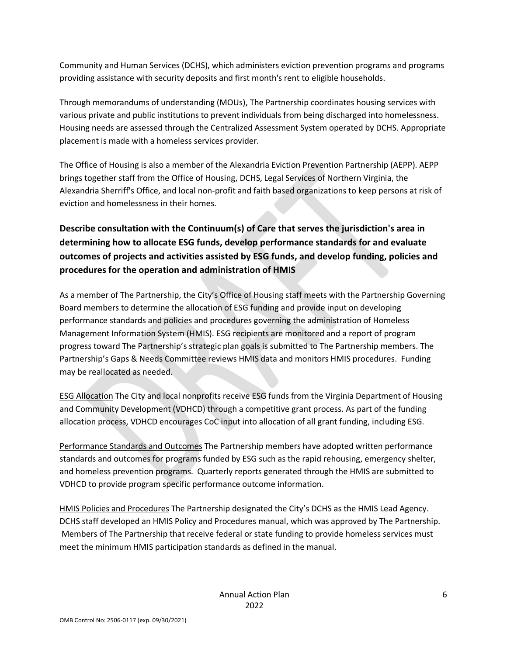Community and Human Services (DCHS), which administers eviction prevention programs and programs providing assistance with security deposits and first month's rent to eligible households.

Through memorandums of understanding (MOUs), The Partnership coordinates housing services with various private and public institutions to prevent individuals from being discharged into homelessness. Housing needs are assessed through the Centralized Assessment System operated by DCHS. Appropriate placement is made with a homeless services provider.

The Office of Housing is also a member of the Alexandria Eviction Prevention Partnership (AEPP). AEPP brings together staff from the Office of Housing, DCHS, Legal Services of Northern Virginia, the Alexandria Sherriff's Office, and local non-profit and faith based organizations to keep persons at risk of eviction and homelessness in their homes.

## **Describe consultation with the Continuum(s) of Care that serves the jurisdiction's area in determining how to allocate ESG funds, develop performance standards for and evaluate outcomes of projects and activities assisted by ESG funds, and develop funding, policies and procedures for the operation and administration of HMIS**

As a member of The Partnership, the City's Office of Housing staff meets with the Partnership Governing Board members to determine the allocation of ESG funding and provide input on developing performance standards and policies and procedures governing the administration of Homeless Management Information System (HMIS). ESG recipients are monitored and a report of program progress toward The Partnership's strategic plan goals is submitted to The Partnership members. The Partnership's Gaps & Needs Committee reviews HMIS data and monitors HMIS procedures. Funding may be reallocated as needed.

ESG Allocation The City and local nonprofits receive ESG funds from the Virginia Department of Housing and Community Development (VDHCD) through a competitive grant process. As part of the funding allocation process, VDHCD encourages CoC input into allocation of all grant funding, including ESG.

Performance Standards and Outcomes The Partnership members have adopted written performance standards and outcomes for programs funded by ESG such as the rapid rehousing, emergency shelter, and homeless prevention programs. Quarterly reports generated through the HMIS are submitted to VDHCD to provide program specific performance outcome information.

HMIS Policies and Procedures The Partnership designated the City's DCHS as the HMIS Lead Agency. DCHS staff developed an HMIS Policy and Procedures manual, which was approved by The Partnership. Members of The Partnership that receive federal or state funding to provide homeless services must meet the minimum HMIS participation standards as defined in the manual.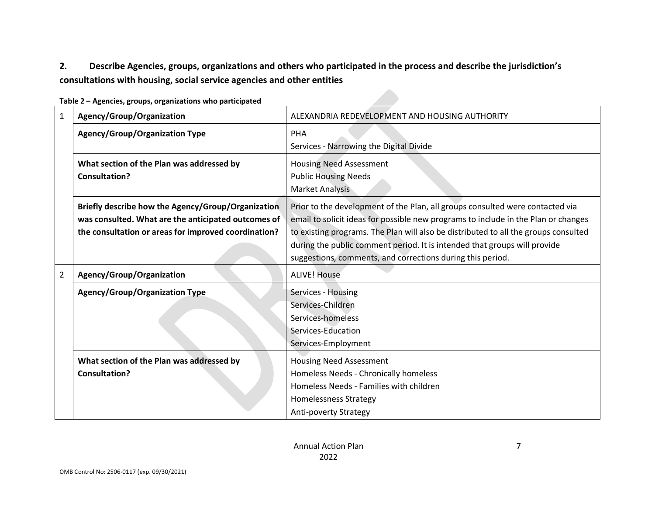## **2. Describe Agencies, groups, organizations and others who participated in the process and describe the jurisdiction's consultations with housing, social service agencies and other entities**

| 1              | Agency/Group/Organization                                                                                                                                         | ALEXANDRIA REDEVELOPMENT AND HOUSING AUTHORITY                                                                                                                                                                                                                                                                                                                                                        |
|----------------|-------------------------------------------------------------------------------------------------------------------------------------------------------------------|-------------------------------------------------------------------------------------------------------------------------------------------------------------------------------------------------------------------------------------------------------------------------------------------------------------------------------------------------------------------------------------------------------|
|                | <b>Agency/Group/Organization Type</b>                                                                                                                             | PHA<br>Services - Narrowing the Digital Divide                                                                                                                                                                                                                                                                                                                                                        |
|                | What section of the Plan was addressed by<br><b>Consultation?</b>                                                                                                 | <b>Housing Need Assessment</b><br><b>Public Housing Needs</b><br>Market Analysis                                                                                                                                                                                                                                                                                                                      |
|                | Briefly describe how the Agency/Group/Organization<br>was consulted. What are the anticipated outcomes of<br>the consultation or areas for improved coordination? | Prior to the development of the Plan, all groups consulted were contacted via<br>email to solicit ideas for possible new programs to include in the Plan or changes<br>to existing programs. The Plan will also be distributed to all the groups consulted<br>during the public comment period. It is intended that groups will provide<br>suggestions, comments, and corrections during this period. |
| $\overline{2}$ | Agency/Group/Organization                                                                                                                                         | <b>ALIVE! House</b>                                                                                                                                                                                                                                                                                                                                                                                   |
|                | <b>Agency/Group/Organization Type</b>                                                                                                                             | Services - Housing<br>Services-Children<br>Services-homeless<br>Services-Education<br>Services-Employment                                                                                                                                                                                                                                                                                             |
|                | What section of the Plan was addressed by<br><b>Consultation?</b>                                                                                                 | <b>Housing Need Assessment</b><br>Homeless Needs - Chronically homeless<br>Homeless Needs - Families with children<br><b>Homelessness Strategy</b><br><b>Anti-poverty Strategy</b>                                                                                                                                                                                                                    |

**Table 2 – Agencies, groups, organizations who participated**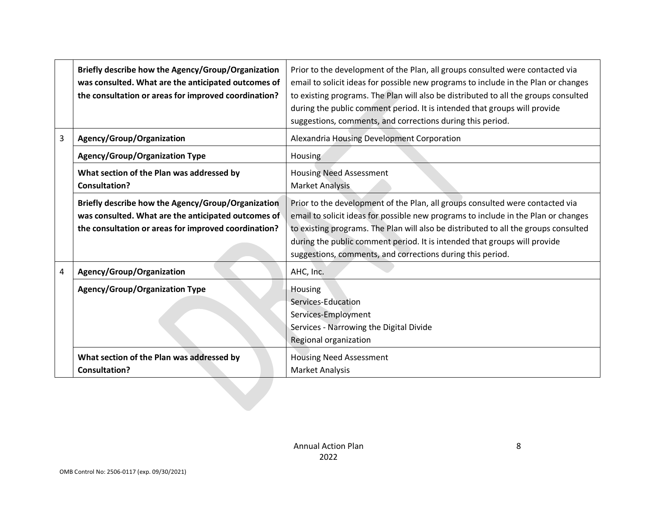|   | Briefly describe how the Agency/Group/Organization<br>was consulted. What are the anticipated outcomes of<br>the consultation or areas for improved coordination? | Prior to the development of the Plan, all groups consulted were contacted via<br>email to solicit ideas for possible new programs to include in the Plan or changes<br>to existing programs. The Plan will also be distributed to all the groups consulted<br>during the public comment period. It is intended that groups will provide<br>suggestions, comments, and corrections during this period. |
|---|-------------------------------------------------------------------------------------------------------------------------------------------------------------------|-------------------------------------------------------------------------------------------------------------------------------------------------------------------------------------------------------------------------------------------------------------------------------------------------------------------------------------------------------------------------------------------------------|
| 3 | Agency/Group/Organization                                                                                                                                         | Alexandria Housing Development Corporation                                                                                                                                                                                                                                                                                                                                                            |
|   | <b>Agency/Group/Organization Type</b>                                                                                                                             | Housing                                                                                                                                                                                                                                                                                                                                                                                               |
|   | What section of the Plan was addressed by<br><b>Consultation?</b>                                                                                                 | <b>Housing Need Assessment</b><br>Market Analysis                                                                                                                                                                                                                                                                                                                                                     |
|   | Briefly describe how the Agency/Group/Organization<br>was consulted. What are the anticipated outcomes of<br>the consultation or areas for improved coordination? | Prior to the development of the Plan, all groups consulted were contacted via<br>email to solicit ideas for possible new programs to include in the Plan or changes<br>to existing programs. The Plan will also be distributed to all the groups consulted<br>during the public comment period. It is intended that groups will provide<br>suggestions, comments, and corrections during this period. |
| 4 | Agency/Group/Organization                                                                                                                                         | AHC, Inc.                                                                                                                                                                                                                                                                                                                                                                                             |
|   | <b>Agency/Group/Organization Type</b>                                                                                                                             | Housing<br>Services-Education<br>Services-Employment<br>Services - Narrowing the Digital Divide<br>Regional organization                                                                                                                                                                                                                                                                              |
|   | What section of the Plan was addressed by<br><b>Consultation?</b>                                                                                                 | <b>Housing Need Assessment</b><br><b>Market Analysis</b>                                                                                                                                                                                                                                                                                                                                              |
|   |                                                                                                                                                                   |                                                                                                                                                                                                                                                                                                                                                                                                       |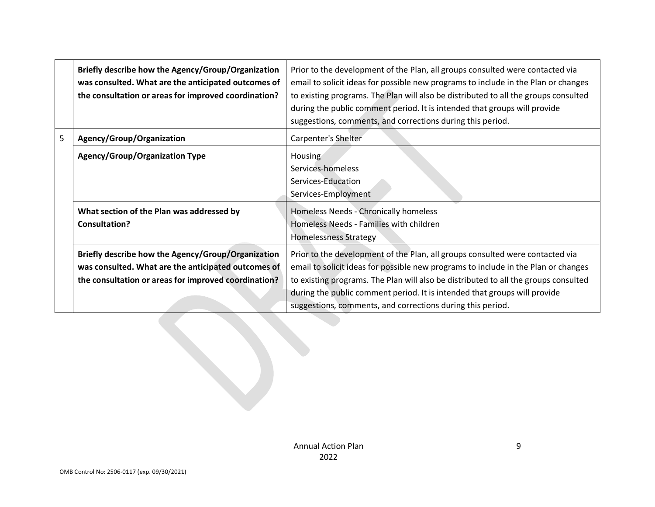|   | Briefly describe how the Agency/Group/Organization<br>was consulted. What are the anticipated outcomes of<br>the consultation or areas for improved coordination? | Prior to the development of the Plan, all groups consulted were contacted via<br>email to solicit ideas for possible new programs to include in the Plan or changes<br>to existing programs. The Plan will also be distributed to all the groups consulted<br>during the public comment period. It is intended that groups will provide<br>suggestions, comments, and corrections during this period. |
|---|-------------------------------------------------------------------------------------------------------------------------------------------------------------------|-------------------------------------------------------------------------------------------------------------------------------------------------------------------------------------------------------------------------------------------------------------------------------------------------------------------------------------------------------------------------------------------------------|
| 5 | Agency/Group/Organization                                                                                                                                         | Carpenter's Shelter                                                                                                                                                                                                                                                                                                                                                                                   |
|   | <b>Agency/Group/Organization Type</b>                                                                                                                             | Housing<br>Services-homeless<br>Services-Education<br>Services-Employment                                                                                                                                                                                                                                                                                                                             |
|   | What section of the Plan was addressed by<br>Consultation?                                                                                                        | Homeless Needs - Chronically homeless<br>Homeless Needs - Families with children<br><b>Homelessness Strategy</b>                                                                                                                                                                                                                                                                                      |
|   | Briefly describe how the Agency/Group/Organization<br>was consulted. What are the anticipated outcomes of<br>the consultation or areas for improved coordination? | Prior to the development of the Plan, all groups consulted were contacted via<br>email to solicit ideas for possible new programs to include in the Plan or changes<br>to existing programs. The Plan will also be distributed to all the groups consulted<br>during the public comment period. It is intended that groups will provide<br>suggestions, comments, and corrections during this period. |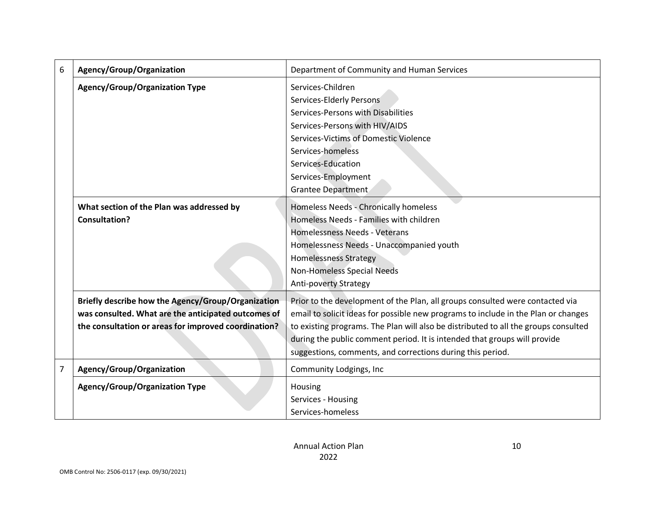| 6              | Agency/Group/Organization                                                                                                                                         | Department of Community and Human Services                                                                                                                                                                                                                                                                                                                                                            |
|----------------|-------------------------------------------------------------------------------------------------------------------------------------------------------------------|-------------------------------------------------------------------------------------------------------------------------------------------------------------------------------------------------------------------------------------------------------------------------------------------------------------------------------------------------------------------------------------------------------|
|                | <b>Agency/Group/Organization Type</b>                                                                                                                             | Services-Children<br>Services-Elderly Persons<br>Services-Persons with Disabilities<br>Services-Persons with HIV/AIDS<br>Services-Victims of Domestic Violence<br>Services-homeless<br>Services-Education<br>Services-Employment                                                                                                                                                                      |
|                | What section of the Plan was addressed by<br><b>Consultation?</b>                                                                                                 | Grantee Department<br><b>Homeless Needs - Chronically homeless</b><br>Homeless Needs - Families with children<br>Homelessness Needs - Veterans<br>Homelessness Needs - Unaccompanied youth<br><b>Homelessness Strategy</b><br>Non-Homeless Special Needs<br>Anti-poverty Strategy                                                                                                                     |
|                | Briefly describe how the Agency/Group/Organization<br>was consulted. What are the anticipated outcomes of<br>the consultation or areas for improved coordination? | Prior to the development of the Plan, all groups consulted were contacted via<br>email to solicit ideas for possible new programs to include in the Plan or changes<br>to existing programs. The Plan will also be distributed to all the groups consulted<br>during the public comment period. It is intended that groups will provide<br>suggestions, comments, and corrections during this period. |
| $\overline{7}$ | Agency/Group/Organization                                                                                                                                         | Community Lodgings, Inc                                                                                                                                                                                                                                                                                                                                                                               |
|                | <b>Agency/Group/Organization Type</b>                                                                                                                             | Housing<br>Services - Housing<br>Services-homeless                                                                                                                                                                                                                                                                                                                                                    |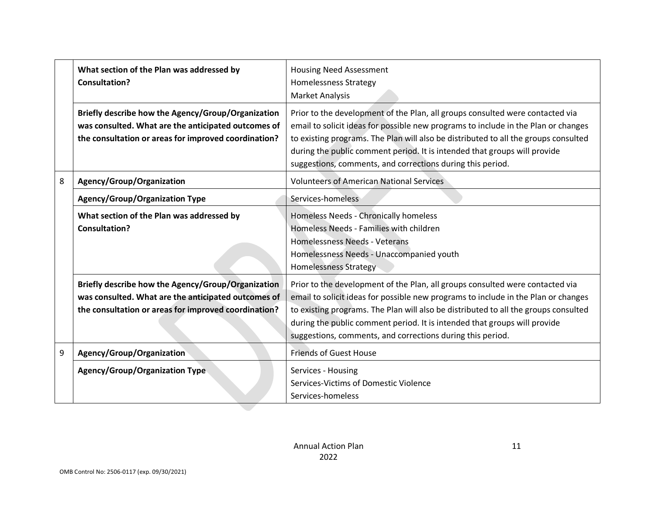|   | What section of the Plan was addressed by<br><b>Consultation?</b>                                                                                                 | <b>Housing Need Assessment</b><br><b>Homelessness Strategy</b><br><b>Market Analysis</b>                                                                                                                                                                                                                                                                                                              |
|---|-------------------------------------------------------------------------------------------------------------------------------------------------------------------|-------------------------------------------------------------------------------------------------------------------------------------------------------------------------------------------------------------------------------------------------------------------------------------------------------------------------------------------------------------------------------------------------------|
|   | Briefly describe how the Agency/Group/Organization<br>was consulted. What are the anticipated outcomes of<br>the consultation or areas for improved coordination? | Prior to the development of the Plan, all groups consulted were contacted via<br>email to solicit ideas for possible new programs to include in the Plan or changes<br>to existing programs. The Plan will also be distributed to all the groups consulted<br>during the public comment period. It is intended that groups will provide<br>suggestions, comments, and corrections during this period. |
| 8 | Agency/Group/Organization                                                                                                                                         | <b>Volunteers of American National Services</b>                                                                                                                                                                                                                                                                                                                                                       |
|   | <b>Agency/Group/Organization Type</b>                                                                                                                             | Services-homeless                                                                                                                                                                                                                                                                                                                                                                                     |
|   | What section of the Plan was addressed by<br>Consultation?                                                                                                        | Homeless Needs - Chronically homeless<br>Homeless Needs - Families with children<br>Homelessness Needs - Veterans<br>Homelessness Needs - Unaccompanied youth<br><b>Homelessness Strategy</b>                                                                                                                                                                                                         |
|   | Briefly describe how the Agency/Group/Organization<br>was consulted. What are the anticipated outcomes of<br>the consultation or areas for improved coordination? | Prior to the development of the Plan, all groups consulted were contacted via<br>email to solicit ideas for possible new programs to include in the Plan or changes<br>to existing programs. The Plan will also be distributed to all the groups consulted<br>during the public comment period. It is intended that groups will provide<br>suggestions, comments, and corrections during this period. |
| 9 | Agency/Group/Organization                                                                                                                                         | <b>Friends of Guest House</b>                                                                                                                                                                                                                                                                                                                                                                         |
|   | <b>Agency/Group/Organization Type</b>                                                                                                                             | Services - Housing<br>Services-Victims of Domestic Violence<br>Services-homeless                                                                                                                                                                                                                                                                                                                      |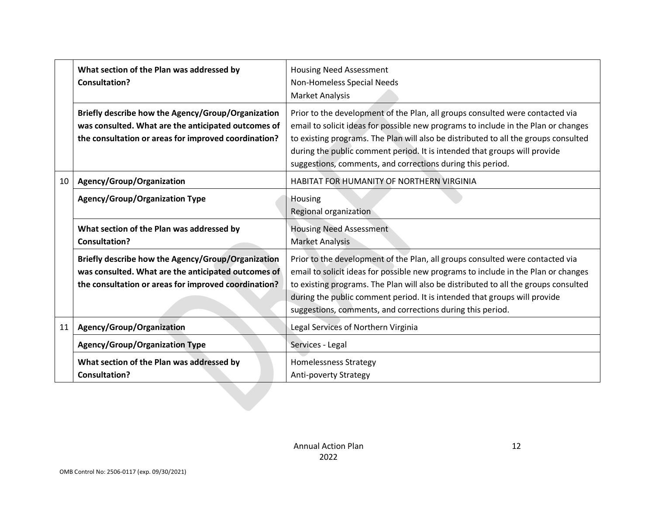|    | What section of the Plan was addressed by<br><b>Consultation?</b>                                                                                                 | <b>Housing Need Assessment</b><br>Non-Homeless Special Needs<br><b>Market Analysis</b>                                                                                                                                                                                                                                                                                                                |
|----|-------------------------------------------------------------------------------------------------------------------------------------------------------------------|-------------------------------------------------------------------------------------------------------------------------------------------------------------------------------------------------------------------------------------------------------------------------------------------------------------------------------------------------------------------------------------------------------|
|    | Briefly describe how the Agency/Group/Organization<br>was consulted. What are the anticipated outcomes of<br>the consultation or areas for improved coordination? | Prior to the development of the Plan, all groups consulted were contacted via<br>email to solicit ideas for possible new programs to include in the Plan or changes<br>to existing programs. The Plan will also be distributed to all the groups consulted<br>during the public comment period. It is intended that groups will provide<br>suggestions, comments, and corrections during this period. |
| 10 | Agency/Group/Organization                                                                                                                                         | HABITAT FOR HUMANITY OF NORTHERN VIRGINIA                                                                                                                                                                                                                                                                                                                                                             |
|    | <b>Agency/Group/Organization Type</b>                                                                                                                             | Housing<br>Regional organization                                                                                                                                                                                                                                                                                                                                                                      |
|    | What section of the Plan was addressed by<br><b>Consultation?</b>                                                                                                 | <b>Housing Need Assessment</b><br><b>Market Analysis</b>                                                                                                                                                                                                                                                                                                                                              |
|    | Briefly describe how the Agency/Group/Organization<br>was consulted. What are the anticipated outcomes of<br>the consultation or areas for improved coordination? | Prior to the development of the Plan, all groups consulted were contacted via<br>email to solicit ideas for possible new programs to include in the Plan or changes<br>to existing programs. The Plan will also be distributed to all the groups consulted<br>during the public comment period. It is intended that groups will provide<br>suggestions, comments, and corrections during this period. |
| 11 | Agency/Group/Organization                                                                                                                                         | Legal Services of Northern Virginia                                                                                                                                                                                                                                                                                                                                                                   |
|    | <b>Agency/Group/Organization Type</b>                                                                                                                             | Services - Legal                                                                                                                                                                                                                                                                                                                                                                                      |
|    | What section of the Plan was addressed by<br><b>Consultation?</b>                                                                                                 | <b>Homelessness Strategy</b><br><b>Anti-poverty Strategy</b>                                                                                                                                                                                                                                                                                                                                          |
|    |                                                                                                                                                                   |                                                                                                                                                                                                                                                                                                                                                                                                       |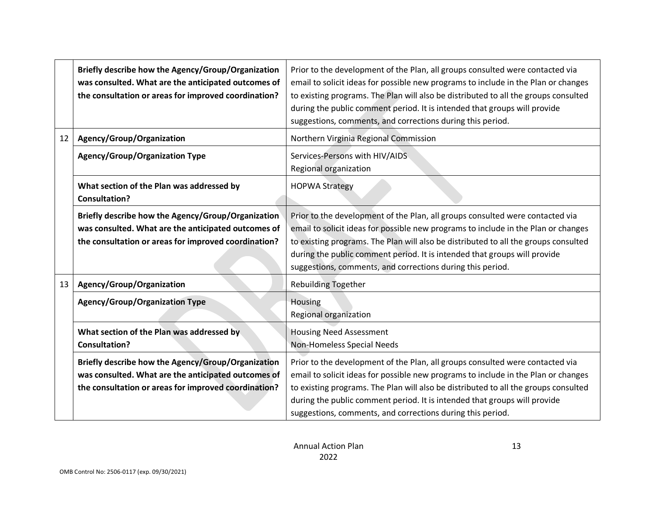|    | Briefly describe how the Agency/Group/Organization<br>was consulted. What are the anticipated outcomes of<br>the consultation or areas for improved coordination? | Prior to the development of the Plan, all groups consulted were contacted via<br>email to solicit ideas for possible new programs to include in the Plan or changes<br>to existing programs. The Plan will also be distributed to all the groups consulted<br>during the public comment period. It is intended that groups will provide<br>suggestions, comments, and corrections during this period. |
|----|-------------------------------------------------------------------------------------------------------------------------------------------------------------------|-------------------------------------------------------------------------------------------------------------------------------------------------------------------------------------------------------------------------------------------------------------------------------------------------------------------------------------------------------------------------------------------------------|
| 12 | Agency/Group/Organization                                                                                                                                         | Northern Virginia Regional Commission                                                                                                                                                                                                                                                                                                                                                                 |
|    | <b>Agency/Group/Organization Type</b>                                                                                                                             | Services-Persons with HIV/AIDS<br>Regional organization                                                                                                                                                                                                                                                                                                                                               |
|    | What section of the Plan was addressed by<br><b>Consultation?</b>                                                                                                 | <b>HOPWA Strategy</b>                                                                                                                                                                                                                                                                                                                                                                                 |
|    | Briefly describe how the Agency/Group/Organization<br>was consulted. What are the anticipated outcomes of<br>the consultation or areas for improved coordination? | Prior to the development of the Plan, all groups consulted were contacted via<br>email to solicit ideas for possible new programs to include in the Plan or changes<br>to existing programs. The Plan will also be distributed to all the groups consulted<br>during the public comment period. It is intended that groups will provide<br>suggestions, comments, and corrections during this period. |
| 13 | Agency/Group/Organization                                                                                                                                         | <b>Rebuilding Together</b>                                                                                                                                                                                                                                                                                                                                                                            |
|    | <b>Agency/Group/Organization Type</b>                                                                                                                             | Housing<br>Regional organization                                                                                                                                                                                                                                                                                                                                                                      |
|    | What section of the Plan was addressed by<br><b>Consultation?</b>                                                                                                 | <b>Housing Need Assessment</b><br>Non-Homeless Special Needs                                                                                                                                                                                                                                                                                                                                          |
|    | Briefly describe how the Agency/Group/Organization<br>was consulted. What are the anticipated outcomes of<br>the consultation or areas for improved coordination? | Prior to the development of the Plan, all groups consulted were contacted via<br>email to solicit ideas for possible new programs to include in the Plan or changes<br>to existing programs. The Plan will also be distributed to all the groups consulted<br>during the public comment period. It is intended that groups will provide<br>suggestions, comments, and corrections during this period. |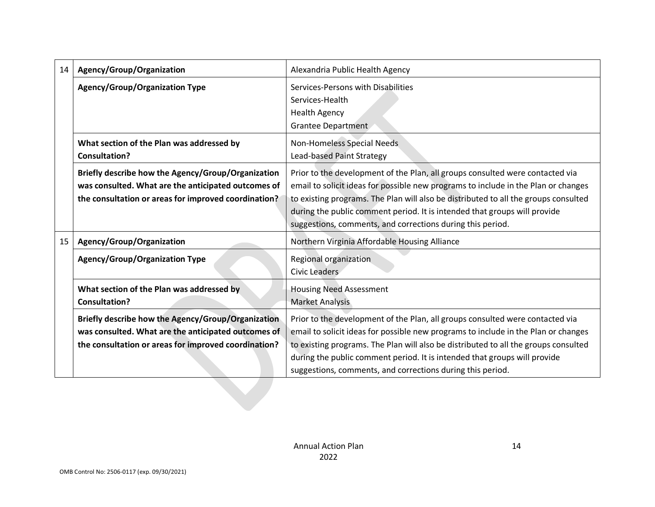| 14 | Agency/Group/Organization                                                                                                                                         | Alexandria Public Health Agency                                                                                                                                                                                                                                                                                                                                                                       |
|----|-------------------------------------------------------------------------------------------------------------------------------------------------------------------|-------------------------------------------------------------------------------------------------------------------------------------------------------------------------------------------------------------------------------------------------------------------------------------------------------------------------------------------------------------------------------------------------------|
|    | <b>Agency/Group/Organization Type</b>                                                                                                                             | Services-Persons with Disabilities<br>Services-Health<br><b>Health Agency</b><br>Grantee Department                                                                                                                                                                                                                                                                                                   |
|    | What section of the Plan was addressed by<br><b>Consultation?</b>                                                                                                 | Non-Homeless Special Needs<br>Lead-based Paint Strategy                                                                                                                                                                                                                                                                                                                                               |
|    | Briefly describe how the Agency/Group/Organization<br>was consulted. What are the anticipated outcomes of<br>the consultation or areas for improved coordination? | Prior to the development of the Plan, all groups consulted were contacted via<br>email to solicit ideas for possible new programs to include in the Plan or changes<br>to existing programs. The Plan will also be distributed to all the groups consulted<br>during the public comment period. It is intended that groups will provide<br>suggestions, comments, and corrections during this period. |
| 15 | Agency/Group/Organization                                                                                                                                         | Northern Virginia Affordable Housing Alliance                                                                                                                                                                                                                                                                                                                                                         |
|    | <b>Agency/Group/Organization Type</b>                                                                                                                             | Regional organization<br>Civic Leaders                                                                                                                                                                                                                                                                                                                                                                |
|    | What section of the Plan was addressed by<br><b>Consultation?</b>                                                                                                 | <b>Housing Need Assessment</b><br><b>Market Analysis</b>                                                                                                                                                                                                                                                                                                                                              |
|    | Briefly describe how the Agency/Group/Organization<br>was consulted. What are the anticipated outcomes of<br>the consultation or areas for improved coordination? | Prior to the development of the Plan, all groups consulted were contacted via<br>email to solicit ideas for possible new programs to include in the Plan or changes<br>to existing programs. The Plan will also be distributed to all the groups consulted<br>during the public comment period. It is intended that groups will provide<br>suggestions, comments, and corrections during this period. |
|    |                                                                                                                                                                   |                                                                                                                                                                                                                                                                                                                                                                                                       |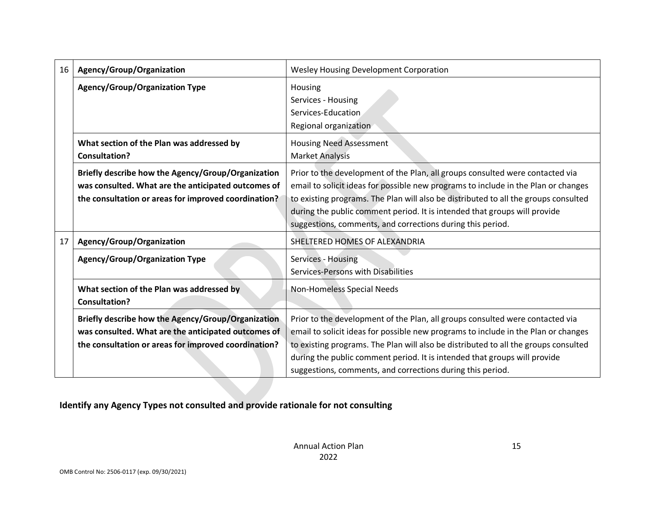| 16 | Agency/Group/Organization                                                                                                                                         | <b>Wesley Housing Development Corporation</b>                                                                                                                                                                                                                                                                                                                                                         |
|----|-------------------------------------------------------------------------------------------------------------------------------------------------------------------|-------------------------------------------------------------------------------------------------------------------------------------------------------------------------------------------------------------------------------------------------------------------------------------------------------------------------------------------------------------------------------------------------------|
|    | <b>Agency/Group/Organization Type</b>                                                                                                                             | Housing<br>Services - Housing<br>Services-Education<br>Regional organization                                                                                                                                                                                                                                                                                                                          |
|    | What section of the Plan was addressed by<br><b>Consultation?</b>                                                                                                 | <b>Housing Need Assessment</b><br><b>Market Analysis</b>                                                                                                                                                                                                                                                                                                                                              |
|    | Briefly describe how the Agency/Group/Organization<br>was consulted. What are the anticipated outcomes of<br>the consultation or areas for improved coordination? | Prior to the development of the Plan, all groups consulted were contacted via<br>email to solicit ideas for possible new programs to include in the Plan or changes<br>to existing programs. The Plan will also be distributed to all the groups consulted<br>during the public comment period. It is intended that groups will provide<br>suggestions, comments, and corrections during this period. |
| 17 | Agency/Group/Organization                                                                                                                                         | SHELTERED HOMES OF ALEXANDRIA                                                                                                                                                                                                                                                                                                                                                                         |
|    | <b>Agency/Group/Organization Type</b>                                                                                                                             | Services - Housing<br>Services-Persons with Disabilities                                                                                                                                                                                                                                                                                                                                              |
|    | What section of the Plan was addressed by<br><b>Consultation?</b>                                                                                                 | Non-Homeless Special Needs                                                                                                                                                                                                                                                                                                                                                                            |
|    | Briefly describe how the Agency/Group/Organization<br>was consulted. What are the anticipated outcomes of<br>the consultation or areas for improved coordination? | Prior to the development of the Plan, all groups consulted were contacted via<br>email to solicit ideas for possible new programs to include in the Plan or changes<br>to existing programs. The Plan will also be distributed to all the groups consulted<br>during the public comment period. It is intended that groups will provide<br>suggestions, comments, and corrections during this period. |
|    |                                                                                                                                                                   |                                                                                                                                                                                                                                                                                                                                                                                                       |

**Identify any Agency Types not consulted and provide rationale for not consulting**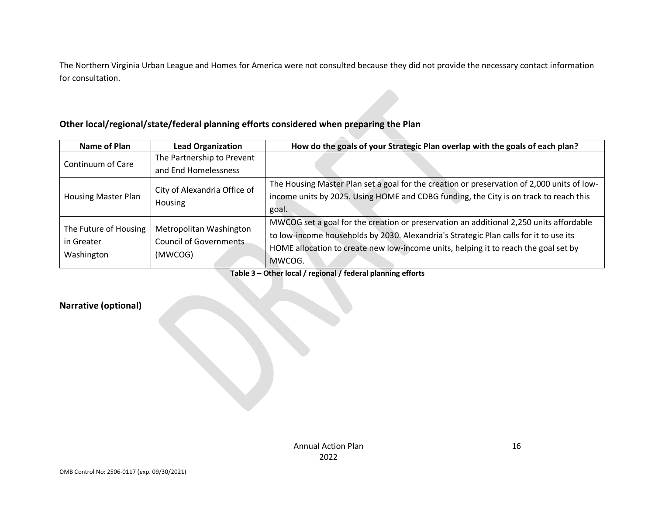The Northern Virginia Urban League and Homes for America were not consulted because they did not provide the necessary contact information for consultation.

## **Other local/regional/state/federal planning efforts considered when preparing the Plan**

| Name of Plan                                      | <b>Lead Organization</b>                                     | How do the goals of your Strategic Plan overlap with the goals of each plan?                                                                                                                                                                                                     |
|---------------------------------------------------|--------------------------------------------------------------|----------------------------------------------------------------------------------------------------------------------------------------------------------------------------------------------------------------------------------------------------------------------------------|
| Continuum of Care                                 | The Partnership to Prevent                                   |                                                                                                                                                                                                                                                                                  |
|                                                   | and End Homelessness                                         |                                                                                                                                                                                                                                                                                  |
| <b>Housing Master Plan</b>                        | City of Alexandria Office of<br>Housing                      | The Housing Master Plan set a goal for the creation or preservation of 2,000 units of low-<br>income units by 2025. Using HOME and CDBG funding, the City is on track to reach this<br>goal.                                                                                     |
| The Future of Housing<br>in Greater<br>Washington | Metropolitan Washington<br>Council of Governments<br>(MWCOG) | MWCOG set a goal for the creation or preservation an additional 2,250 units affordable<br>to low-income households by 2030. Alexandria's Strategic Plan calls for it to use its<br>HOME allocation to create new low-income units, helping it to reach the goal set by<br>MWCOG. |

**Table 3 – Other local / regional / federal planning efforts**

## **Narrative (optional)**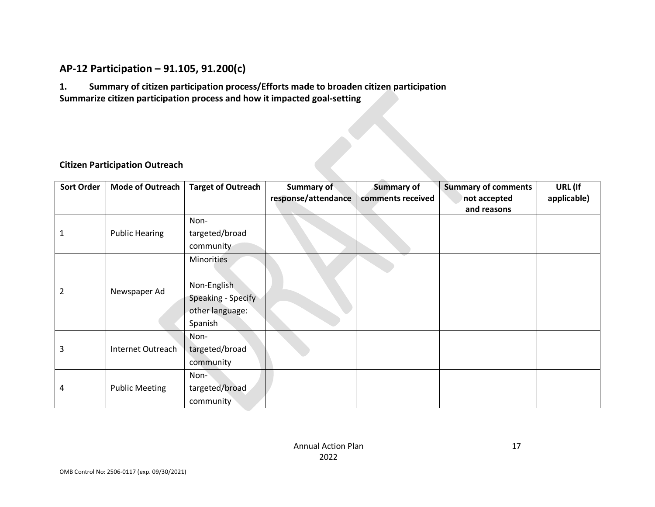## **AP-12 Participation – 91.105, 91.200(c)**

**1. Summary of citizen participation process/Efforts made to broaden citizen participation Summarize citizen participation process and how it impacted goal-setting**

## **Citizen Participation Outreach**

<span id="page-17-0"></span>

| <b>Sort Order</b> | Mode of Outreach      | <b>Target of Outreach</b> | <b>Summary of</b>   | <b>Summary of</b> | <b>Summary of comments</b>  | URL (If     |
|-------------------|-----------------------|---------------------------|---------------------|-------------------|-----------------------------|-------------|
|                   |                       |                           | response/attendance | comments received | not accepted<br>and reasons | applicable) |
|                   |                       | Non-                      |                     |                   |                             |             |
|                   | <b>Public Hearing</b> | targeted/broad            |                     |                   |                             |             |
|                   |                       | community                 |                     |                   |                             |             |
|                   |                       | <b>Minorities</b>         |                     |                   |                             |             |
|                   |                       |                           |                     |                   |                             |             |
| $\overline{2}$    | Newspaper Ad          | Non-English               |                     |                   |                             |             |
|                   |                       | Speaking - Specify        |                     |                   |                             |             |
|                   |                       | other language:           |                     |                   |                             |             |
|                   |                       | Spanish                   |                     |                   |                             |             |
|                   |                       | Non-                      |                     |                   |                             |             |
| 3                 | Internet Outreach     | targeted/broad            |                     |                   |                             |             |
|                   |                       | community                 |                     |                   |                             |             |
|                   |                       | Non-                      |                     |                   |                             |             |
| 4                 | <b>Public Meeting</b> | targeted/broad            |                     |                   |                             |             |
|                   |                       | community                 |                     |                   |                             |             |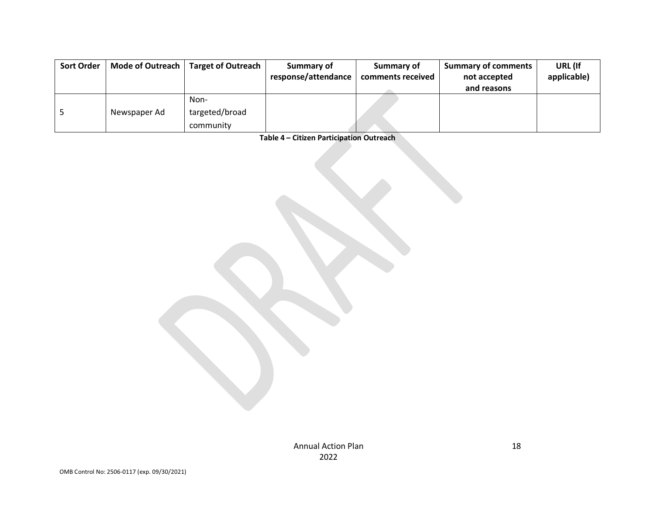| <b>Sort Order</b> | Mode of Outreach | <b>Target of Outreach</b> | Summary of          | Summary of        | <b>Summary of comments</b> | URL (If     |
|-------------------|------------------|---------------------------|---------------------|-------------------|----------------------------|-------------|
|                   |                  |                           | response/attendance | comments received | not accepted               | applicable) |
|                   |                  |                           |                     |                   | and reasons                |             |
|                   |                  | Non-                      |                     |                   |                            |             |
|                   | Newspaper Ad     | targeted/broad            |                     |                   |                            |             |
|                   |                  | community                 |                     |                   |                            |             |

**Table 4 – Citizen Participation Outreach**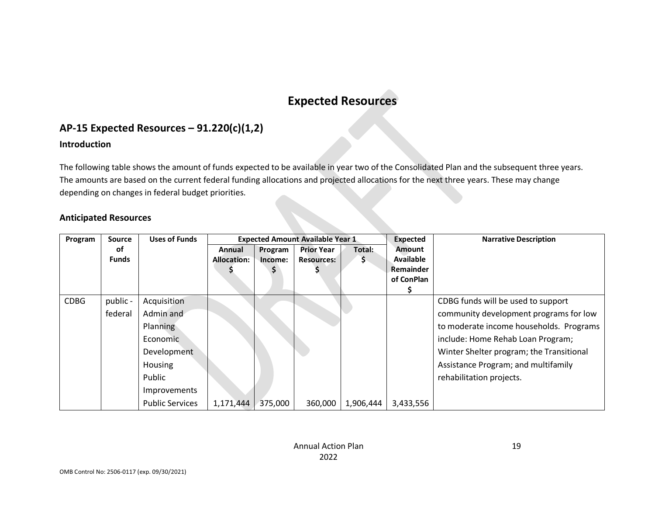# **Expected Resources**

## **AP-15 Expected Resources – 91.220(c)(1,2)**

#### **Introduction**

The following table shows the amount of funds expected to be available in year two of the Consolidated Plan and the subsequent three years. The amounts are based on the current federal funding allocations and projected allocations for the next three years. These may change depending on changes in federal budget priorities.

#### **Anticipated Resources**

<span id="page-19-1"></span><span id="page-19-0"></span>

| Program     | <b>Source</b> | <b>Uses of Funds</b>   | <b>Expected Amount Available Year 1</b> |         | <b>Expected</b>   | <b>Narrative Description</b> |                  |                                          |
|-------------|---------------|------------------------|-----------------------------------------|---------|-------------------|------------------------------|------------------|------------------------------------------|
|             | оf            |                        | Annual                                  | Program | <b>Prior Year</b> | Total:                       | <b>Amount</b>    |                                          |
|             | <b>Funds</b>  |                        | <b>Allocation:</b>                      | Income: | <b>Resources:</b> | \$                           | <b>Available</b> |                                          |
|             |               |                        |                                         |         |                   |                              | <b>Remainder</b> |                                          |
|             |               |                        |                                         |         |                   |                              | of ConPlan       |                                          |
|             |               |                        |                                         |         |                   |                              |                  |                                          |
| <b>CDBG</b> | public -      | Acquisition            |                                         |         |                   |                              |                  | CDBG funds will be used to support       |
|             | federal       | Admin and              |                                         |         |                   |                              |                  | community development programs for low   |
|             |               | Planning               |                                         |         |                   |                              |                  | to moderate income households. Programs  |
|             |               | Economic               |                                         |         |                   |                              |                  | include: Home Rehab Loan Program;        |
|             |               | Development            |                                         |         |                   |                              |                  | Winter Shelter program; the Transitional |
|             |               | Housing                |                                         |         |                   |                              |                  | Assistance Program; and multifamily      |
|             |               | Public                 |                                         |         |                   |                              |                  | rehabilitation projects.                 |
|             |               | Improvements           |                                         |         |                   |                              |                  |                                          |
|             |               | <b>Public Services</b> | 1,171,444                               | 375,000 | 360,000           | 1,906,444                    | 3,433,556        |                                          |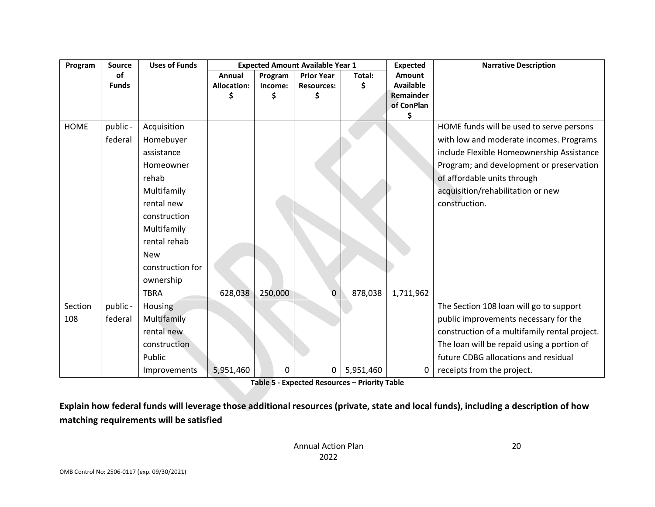| Program     | <b>Source</b> | <b>Uses of Funds</b> | <b>Expected Amount Available Year 1</b> |         | <b>Expected</b>   | <b>Narrative Description</b> |                         |                                               |
|-------------|---------------|----------------------|-----------------------------------------|---------|-------------------|------------------------------|-------------------------|-----------------------------------------------|
|             | of            |                      | Annual                                  | Program | <b>Prior Year</b> | Total:                       | Amount                  |                                               |
|             | <b>Funds</b>  |                      | <b>Allocation:</b>                      | Income: | <b>Resources:</b> | Ś                            | <b>Available</b>        |                                               |
|             |               |                      |                                         | \$      | \$                |                              | Remainder<br>of ConPlan |                                               |
|             |               |                      |                                         |         |                   |                              | \$                      |                                               |
| <b>HOME</b> | public -      | Acquisition          |                                         |         |                   |                              |                         | HOME funds will be used to serve persons      |
|             | federal       | Homebuyer            |                                         |         |                   |                              |                         | with low and moderate incomes. Programs       |
|             |               | assistance           |                                         |         |                   |                              |                         | include Flexible Homeownership Assistance     |
|             |               | Homeowner            |                                         |         |                   |                              |                         | Program; and development or preservation      |
|             |               | rehab                |                                         |         |                   |                              |                         | of affordable units through                   |
|             |               | Multifamily          |                                         |         |                   |                              |                         | acquisition/rehabilitation or new             |
|             |               | rental new           |                                         |         |                   |                              |                         | construction.                                 |
|             |               | construction         |                                         |         |                   |                              |                         |                                               |
|             |               | Multifamily          |                                         |         |                   |                              |                         |                                               |
|             |               | rental rehab         |                                         |         |                   |                              |                         |                                               |
|             |               | <b>New</b>           |                                         |         |                   |                              |                         |                                               |
|             |               | construction for     |                                         |         |                   |                              |                         |                                               |
|             |               | ownership            |                                         |         |                   |                              |                         |                                               |
|             |               | <b>TBRA</b>          | 628,038                                 | 250,000 | $\Omega$          | 878,038                      | 1,711,962               |                                               |
| Section     | public -      | Housing              |                                         |         |                   |                              |                         | The Section 108 loan will go to support       |
| 108         | federal       | Multifamily          |                                         |         |                   |                              |                         | public improvements necessary for the         |
|             |               | rental new           |                                         |         |                   |                              |                         | construction of a multifamily rental project. |
|             |               | construction         |                                         |         |                   |                              |                         | The loan will be repaid using a portion of    |
|             |               | Public               |                                         |         |                   |                              |                         | future CDBG allocations and residual          |
|             |               | Improvements         | 5,951,460                               | 0       | 0                 | 5,951,460                    | 0                       | receipts from the project.                    |

**Table 5 - Expected Resources – Priority Table**

**Explain how federal funds will leverage those additional resources (private, state and local funds), including a description of how matching requirements will be satisfied**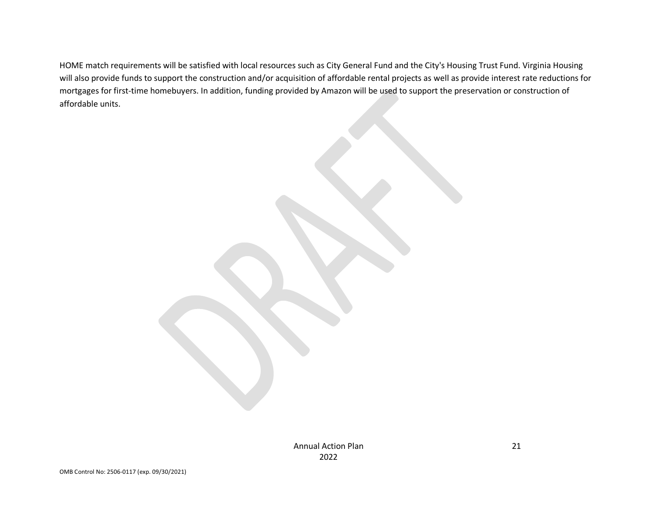HOME match requirements will be satisfied with local resources such as City General Fund and the City's Housing Trust Fund. Virginia Housing will also provide funds to support the construction and/or acquisition of affordable rental projects as well as provide interest rate reductions for mortgages for first-time homebuyers. In addition, funding provided by Amazon will be used to support the preservation or construction of affordable units.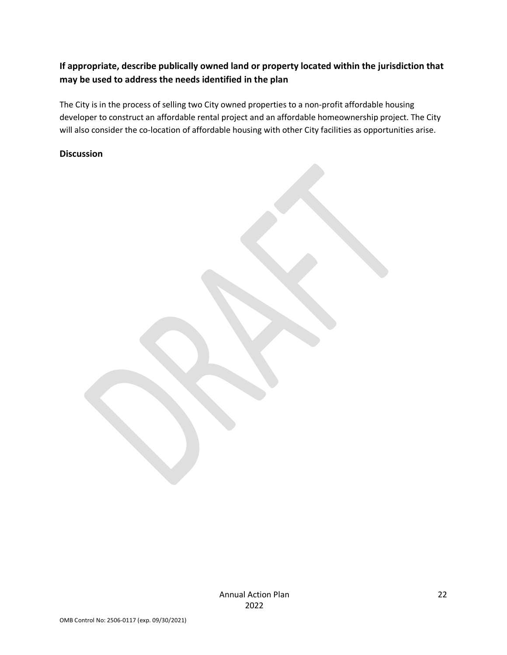## **If appropriate, describe publically owned land or property located within the jurisdiction that may be used to address the needs identified in the plan**

The City is in the process of selling two City owned properties to a non-profit affordable housing developer to construct an affordable rental project and an affordable homeownership project. The City will also consider the co-location of affordable housing with other City facilities as opportunities arise.

#### **Discussion**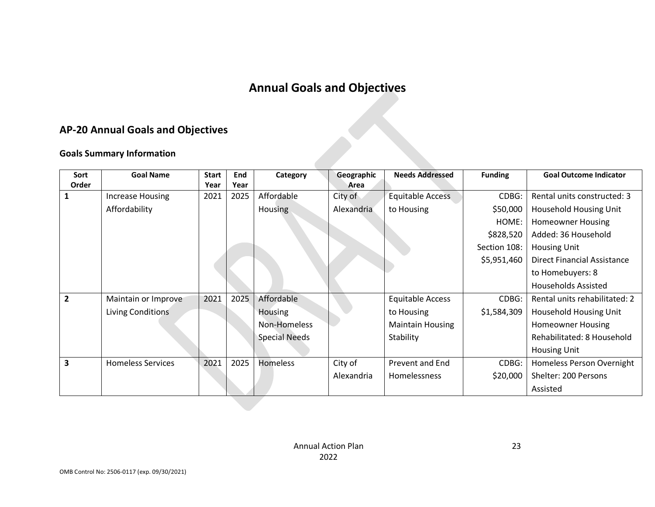# **Annual Goals and Objectives**

## **AP-20 Annual Goals and Objectives**

## <span id="page-23-0"></span>**Goals Summary Information**

|                | <b>AP-20 Annual Goals and Objectives</b> |                      |             |                      |                    |                         |                |                                    |  |  |
|----------------|------------------------------------------|----------------------|-------------|----------------------|--------------------|-------------------------|----------------|------------------------------------|--|--|
|                | <b>Goals Summary Information</b>         |                      |             |                      |                    |                         |                |                                    |  |  |
| Sort<br>Order  | <b>Goal Name</b>                         | <b>Start</b><br>Year | End<br>Year | Category             | Geographic<br>Area | <b>Needs Addressed</b>  | <b>Funding</b> | <b>Goal Outcome Indicator</b>      |  |  |
| 1              | <b>Increase Housing</b>                  | 2021                 | 2025        | Affordable           | City of            | <b>Equitable Access</b> | CDBG:          | Rental units constructed: 3        |  |  |
|                | Affordability                            |                      |             | <b>Housing</b>       | Alexandria         | to Housing              | \$50,000       | Household Housing Unit             |  |  |
|                |                                          |                      |             |                      |                    |                         | HOME:          | <b>Homeowner Housing</b>           |  |  |
|                |                                          |                      |             |                      |                    |                         | \$828,520      | Added: 36 Household                |  |  |
|                |                                          |                      |             |                      |                    |                         | Section 108:   | <b>Housing Unit</b>                |  |  |
|                |                                          |                      |             |                      |                    |                         | \$5,951,460    | <b>Direct Financial Assistance</b> |  |  |
|                |                                          |                      |             |                      |                    |                         |                | to Homebuyers: 8                   |  |  |
|                |                                          |                      |             |                      |                    |                         |                | <b>Households Assisted</b>         |  |  |
| $\overline{2}$ | Maintain or Improve                      | 2021                 | 2025        | Affordable           |                    | Equitable Access        | CDBG:          | Rental units rehabilitated: 2      |  |  |
|                | Living Conditions                        |                      |             | <b>Housing</b>       |                    | to Housing              | \$1,584,309    | Household Housing Unit             |  |  |
|                |                                          |                      |             | Non-Homeless         |                    | <b>Maintain Housing</b> |                | <b>Homeowner Housing</b>           |  |  |
|                |                                          |                      |             | <b>Special Needs</b> |                    | Stability               |                | Rehabilitated: 8 Household         |  |  |
|                |                                          |                      |             |                      |                    |                         |                | <b>Housing Unit</b>                |  |  |
| 3              | <b>Homeless Services</b>                 | 2021                 | 2025        | <b>Homeless</b>      | City of            | <b>Prevent and End</b>  | CDBG:          | Homeless Person Overnight          |  |  |
|                |                                          |                      |             |                      | Alexandria         | Homelessness            | \$20,000       | Shelter: 200 Persons               |  |  |
|                |                                          |                      |             |                      |                    |                         |                | Assisted                           |  |  |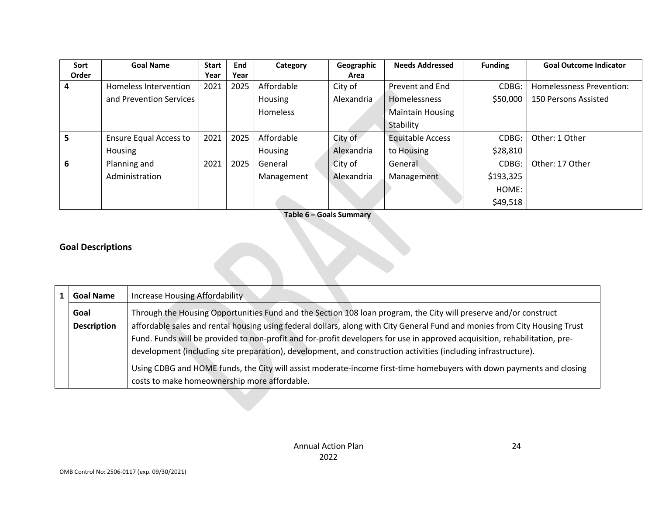| Sort  | <b>Goal Name</b>              | <b>Start</b> | End  | Category        | Geographic | <b>Needs Addressed</b>  | <b>Funding</b> | <b>Goal Outcome Indicator</b> |
|-------|-------------------------------|--------------|------|-----------------|------------|-------------------------|----------------|-------------------------------|
| Order |                               | Year         | Year |                 | Area       |                         |                |                               |
| 4     | Homeless Intervention         | 2021         | 2025 | Affordable      | City of    | Prevent and End         | CDBG:          | Homelessness Prevention:      |
|       | and Prevention Services       |              |      | <b>Housing</b>  | Alexandria | <b>Homelessness</b>     | \$50,000       | 150 Persons Assisted          |
|       |                               |              |      | <b>Homeless</b> |            | <b>Maintain Housing</b> |                |                               |
|       |                               |              |      |                 |            | Stability               |                |                               |
| 5     | <b>Ensure Equal Access to</b> | 2021         | 2025 | Affordable      | City of    | <b>Equitable Access</b> | CDBG:          | Other: 1 Other                |
|       | Housing                       |              |      | <b>Housing</b>  | Alexandria | to Housing              | \$28,810       |                               |
| 6     | Planning and                  | 2021         | 2025 | General         | City of    | General                 | CDBG:          | Other: 17 Other               |
|       | Administration                |              |      | Management      | Alexandria | Management              | \$193,325      |                               |
|       |                               |              |      |                 |            |                         | HOME:          |                               |
|       |                               |              |      |                 |            |                         | \$49,518       |                               |

**Table 6 – Goals Summary**

V

## **Goal Descriptions**

| <b>Goal Name</b>   | Increase Housing Affordability                                                                                             |  |  |  |
|--------------------|----------------------------------------------------------------------------------------------------------------------------|--|--|--|
| Goal               | Through the Housing Opportunities Fund and the Section 108 Ioan program, the City will preserve and/or construct           |  |  |  |
| <b>Description</b> | affordable sales and rental housing using federal dollars, along with City General Fund and monies from City Housing Trust |  |  |  |
|                    | Fund. Funds will be provided to non-profit and for-profit developers for use in approved acquisition, rehabilitation, pre- |  |  |  |
|                    | development (including site preparation), development, and construction activities (including infrastructure).             |  |  |  |
|                    | Using CDBG and HOME funds, the City will assist moderate-income first-time homebuyers with down payments and closing       |  |  |  |
|                    | costs to make homeownership more affordable.                                                                               |  |  |  |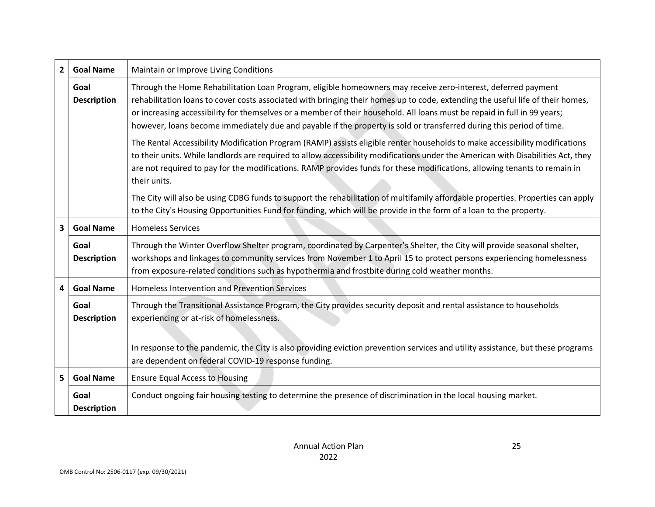| $2^{\circ}$    | <b>Goal Name</b>           | Maintain or Improve Living Conditions                                                                                                                                                                                                                                                                                                                                                                                                                                                               |
|----------------|----------------------------|-----------------------------------------------------------------------------------------------------------------------------------------------------------------------------------------------------------------------------------------------------------------------------------------------------------------------------------------------------------------------------------------------------------------------------------------------------------------------------------------------------|
|                | Goal<br><b>Description</b> | Through the Home Rehabilitation Loan Program, eligible homeowners may receive zero-interest, deferred payment<br>rehabilitation loans to cover costs associated with bringing their homes up to code, extending the useful life of their homes,<br>or increasing accessibility for themselves or a member of their household. All loans must be repaid in full in 99 years;<br>however, loans become immediately due and payable if the property is sold or transferred during this period of time. |
|                |                            | The Rental Accessibility Modification Program (RAMP) assists eligible renter households to make accessibility modifications<br>to their units. While landlords are required to allow accessibility modifications under the American with Disabilities Act, they<br>are not required to pay for the modifications. RAMP provides funds for these modifications, allowing tenants to remain in<br>their units.                                                                                        |
|                |                            | The City will also be using CDBG funds to support the rehabilitation of multifamily affordable properties. Properties can apply<br>to the City's Housing Opportunities Fund for funding, which will be provide in the form of a loan to the property.                                                                                                                                                                                                                                               |
| 3              | <b>Goal Name</b>           | <b>Homeless Services</b>                                                                                                                                                                                                                                                                                                                                                                                                                                                                            |
|                | Goal<br><b>Description</b> | Through the Winter Overflow Shelter program, coordinated by Carpenter's Shelter, the City will provide seasonal shelter,<br>workshops and linkages to community services from November 1 to April 15 to protect persons experiencing homelessness<br>from exposure-related conditions such as hypothermia and frostbite during cold weather months.                                                                                                                                                 |
| 4              | <b>Goal Name</b>           | <b>Homeless Intervention and Prevention Services</b>                                                                                                                                                                                                                                                                                                                                                                                                                                                |
|                | Goal<br><b>Description</b> | Through the Transitional Assistance Program, the City provides security deposit and rental assistance to households<br>experiencing or at-risk of homelessness.                                                                                                                                                                                                                                                                                                                                     |
|                |                            | In response to the pandemic, the City is also providing eviction prevention services and utility assistance, but these programs<br>are dependent on federal COVID-19 response funding.                                                                                                                                                                                                                                                                                                              |
| 5 <sup>1</sup> | <b>Goal Name</b>           | <b>Ensure Equal Access to Housing</b>                                                                                                                                                                                                                                                                                                                                                                                                                                                               |
|                | Goal<br><b>Description</b> | Conduct ongoing fair housing testing to determine the presence of discrimination in the local housing market.                                                                                                                                                                                                                                                                                                                                                                                       |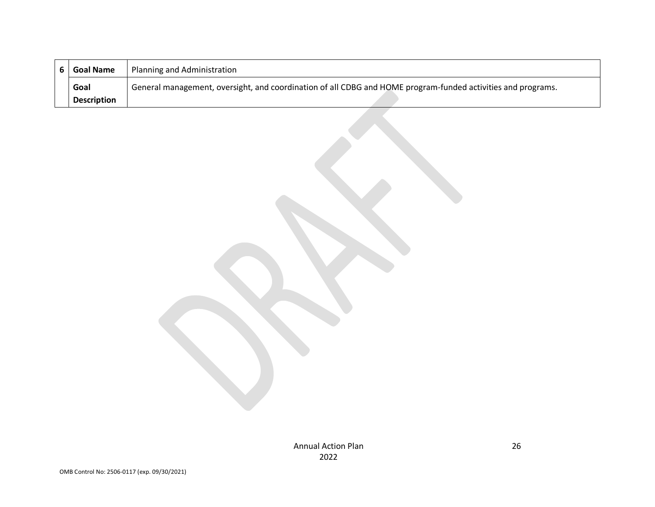| <b>Goal Name</b>   | Planning and Administration                                                                                  |
|--------------------|--------------------------------------------------------------------------------------------------------------|
| Goal               | General management, oversight, and coordination of all CDBG and HOME program-funded activities and programs. |
| <b>Description</b> |                                                                                                              |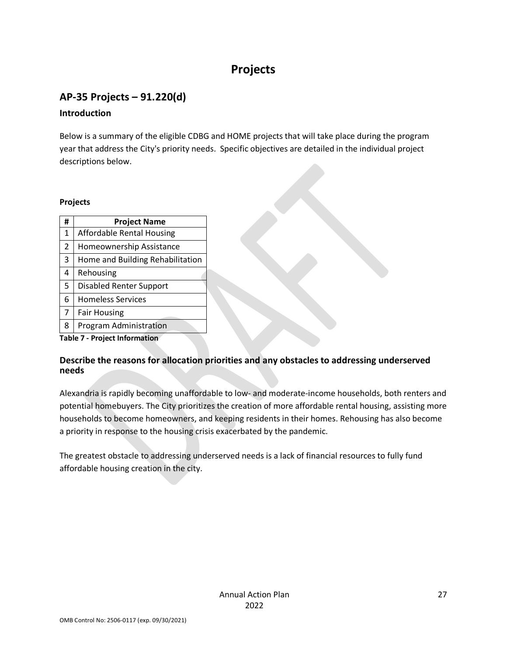# **Projects**

# <span id="page-27-1"></span><span id="page-27-0"></span>**AP-35 Projects – 91.220(d)**

## **Introduction**

Below is a summary of the eligible CDBG and HOME projects that will take place during the program year that address the City's priority needs. Specific objectives are detailed in the individual project descriptions below.

#### **Projects**

| #              | <b>Project Name</b>              |
|----------------|----------------------------------|
| $\mathbf{1}$   | Affordable Rental Housing        |
| $\overline{2}$ | Homeownership Assistance         |
| 3              | Home and Building Rehabilitation |
| 4              | Rehousing                        |
| 5              | <b>Disabled Renter Support</b>   |
| 6              | <b>Homeless Services</b>         |
| $\overline{7}$ | <b>Fair Housing</b>              |
| 8              | Program Administration           |
|                |                                  |

**Table 7 - Project Information**

## **Describe the reasons for allocation priorities and any obstacles to addressing underserved needs**

Alexandria is rapidly becoming unaffordable to low- and moderate-income households, both renters and potential homebuyers. The City prioritizes the creation of more affordable rental housing, assisting more households to become homeowners, and keeping residents in their homes. Rehousing has also become a priority in response to the housing crisis exacerbated by the pandemic.

The greatest obstacle to addressing underserved needs is a lack of financial resources to fully fund affordable housing creation in the city.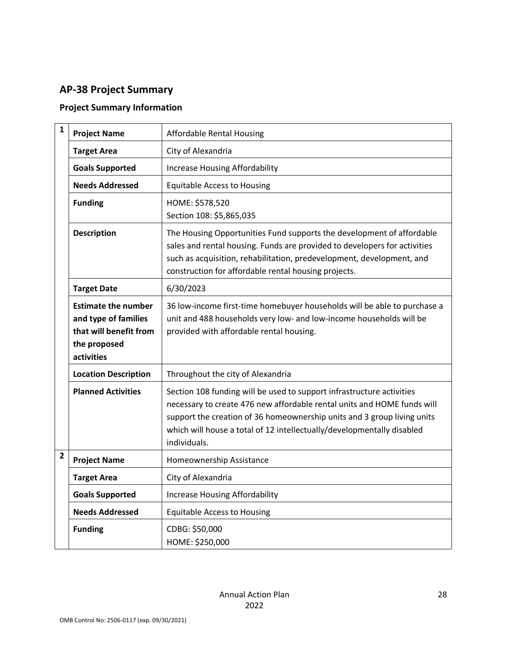# <span id="page-28-0"></span>**AP-38 Project Summary**

## **Project Summary Information**

| $\mathbf{1}$   | <b>Project Name</b>                                                                                        | <b>Affordable Rental Housing</b>                                                                                                                                                                                                                                                                                      |
|----------------|------------------------------------------------------------------------------------------------------------|-----------------------------------------------------------------------------------------------------------------------------------------------------------------------------------------------------------------------------------------------------------------------------------------------------------------------|
|                | <b>Target Area</b>                                                                                         | City of Alexandria                                                                                                                                                                                                                                                                                                    |
|                | <b>Goals Supported</b>                                                                                     | <b>Increase Housing Affordability</b>                                                                                                                                                                                                                                                                                 |
|                | <b>Needs Addressed</b>                                                                                     | <b>Equitable Access to Housing</b>                                                                                                                                                                                                                                                                                    |
|                | <b>Funding</b>                                                                                             | HOME: \$578,520<br>Section 108: \$5,865,035                                                                                                                                                                                                                                                                           |
|                | <b>Description</b>                                                                                         | The Housing Opportunities Fund supports the development of affordable<br>sales and rental housing. Funds are provided to developers for activities<br>such as acquisition, rehabilitation, predevelopment, development, and<br>construction for affordable rental housing projects.                                   |
|                | <b>Target Date</b>                                                                                         | 6/30/2023                                                                                                                                                                                                                                                                                                             |
|                | <b>Estimate the number</b><br>and type of families<br>that will benefit from<br>the proposed<br>activities | 36 low-income first-time homebuyer households will be able to purchase a<br>unit and 488 households very low- and low-income households will be<br>provided with affordable rental housing.                                                                                                                           |
|                | <b>Location Description</b>                                                                                | Throughout the city of Alexandria                                                                                                                                                                                                                                                                                     |
|                | <b>Planned Activities</b>                                                                                  | Section 108 funding will be used to support infrastructure activities<br>necessary to create 476 new affordable rental units and HOME funds will<br>support the creation of 36 homeownership units and 3 group living units<br>which will house a total of 12 intellectually/developmentally disabled<br>individuals. |
| $\overline{2}$ | <b>Project Name</b>                                                                                        | Homeownership Assistance                                                                                                                                                                                                                                                                                              |
|                | <b>Target Area</b>                                                                                         | City of Alexandria                                                                                                                                                                                                                                                                                                    |
|                | <b>Goals Supported</b>                                                                                     | <b>Increase Housing Affordability</b>                                                                                                                                                                                                                                                                                 |
|                | <b>Needs Addressed</b>                                                                                     | <b>Equitable Access to Housing</b>                                                                                                                                                                                                                                                                                    |
|                | <b>Funding</b>                                                                                             | CDBG: \$50,000<br>HOME: \$250,000                                                                                                                                                                                                                                                                                     |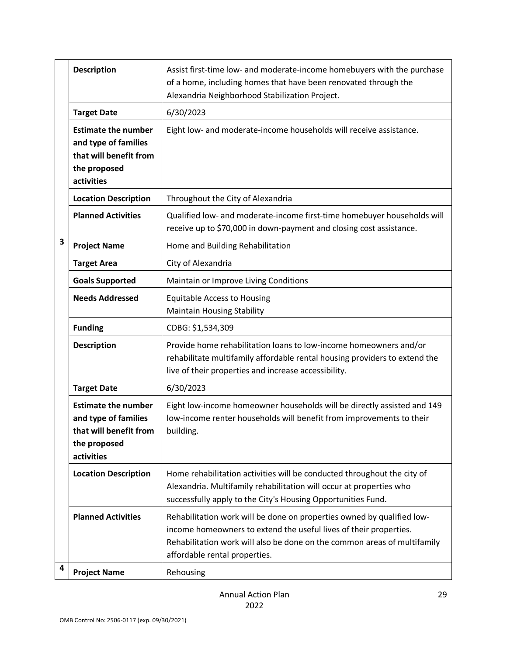|   | <b>Description</b>                                                                                         | Assist first-time low- and moderate-income homebuyers with the purchase<br>of a home, including homes that have been renovated through the                                                                                                               |
|---|------------------------------------------------------------------------------------------------------------|----------------------------------------------------------------------------------------------------------------------------------------------------------------------------------------------------------------------------------------------------------|
|   |                                                                                                            | Alexandria Neighborhood Stabilization Project.                                                                                                                                                                                                           |
|   | <b>Target Date</b>                                                                                         | 6/30/2023                                                                                                                                                                                                                                                |
|   | <b>Estimate the number</b><br>and type of families<br>that will benefit from<br>the proposed<br>activities | Eight low- and moderate-income households will receive assistance.                                                                                                                                                                                       |
|   | <b>Location Description</b>                                                                                | Throughout the City of Alexandria                                                                                                                                                                                                                        |
|   | <b>Planned Activities</b>                                                                                  | Qualified low- and moderate-income first-time homebuyer households will<br>receive up to \$70,000 in down-payment and closing cost assistance.                                                                                                           |
| 3 | <b>Project Name</b>                                                                                        | Home and Building Rehabilitation                                                                                                                                                                                                                         |
|   | <b>Target Area</b>                                                                                         | City of Alexandria                                                                                                                                                                                                                                       |
|   | <b>Goals Supported</b>                                                                                     | Maintain or Improve Living Conditions                                                                                                                                                                                                                    |
|   | <b>Needs Addressed</b>                                                                                     | <b>Equitable Access to Housing</b><br><b>Maintain Housing Stability</b>                                                                                                                                                                                  |
|   | <b>Funding</b>                                                                                             | CDBG: \$1,534,309                                                                                                                                                                                                                                        |
|   | <b>Description</b>                                                                                         | Provide home rehabilitation loans to low-income homeowners and/or<br>rehabilitate multifamily affordable rental housing providers to extend the<br>live of their properties and increase accessibility.                                                  |
|   | <b>Target Date</b>                                                                                         | 6/30/2023                                                                                                                                                                                                                                                |
|   | <b>Estimate the number</b><br>and type of families<br>that will benefit from<br>the proposed<br>activities | Eight low-income homeowner households will be directly assisted and 149<br>low-income renter households will benefit from improvements to their<br>building.                                                                                             |
|   | <b>Location Description</b>                                                                                | Home rehabilitation activities will be conducted throughout the city of<br>Alexandria. Multifamily rehabilitation will occur at properties who<br>successfully apply to the City's Housing Opportunities Fund.                                           |
|   | <b>Planned Activities</b>                                                                                  | Rehabilitation work will be done on properties owned by qualified low-<br>income homeowners to extend the useful lives of their properties.<br>Rehabilitation work will also be done on the common areas of multifamily<br>affordable rental properties. |
| 4 | <b>Project Name</b>                                                                                        | Rehousing                                                                                                                                                                                                                                                |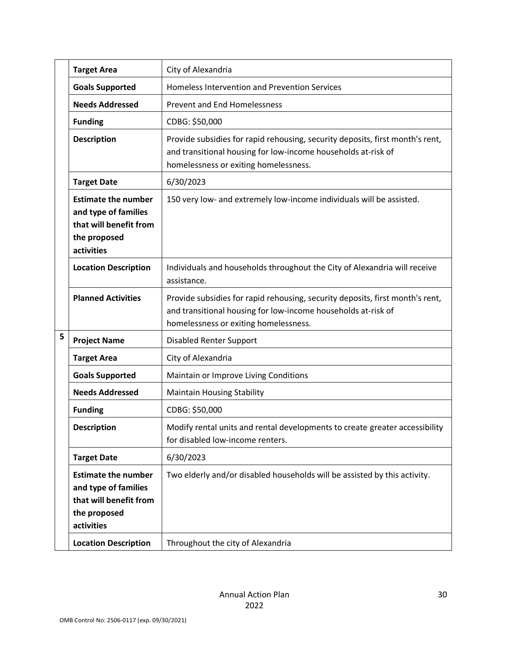|   | <b>Target Area</b>                                                                                         | City of Alexandria                                                                                                                                                                      |
|---|------------------------------------------------------------------------------------------------------------|-----------------------------------------------------------------------------------------------------------------------------------------------------------------------------------------|
|   | <b>Goals Supported</b>                                                                                     | <b>Homeless Intervention and Prevention Services</b>                                                                                                                                    |
|   | <b>Needs Addressed</b>                                                                                     | <b>Prevent and End Homelessness</b>                                                                                                                                                     |
|   | <b>Funding</b>                                                                                             | CDBG: \$50,000                                                                                                                                                                          |
|   | <b>Description</b>                                                                                         | Provide subsidies for rapid rehousing, security deposits, first month's rent,<br>and transitional housing for low-income households at-risk of<br>homelessness or exiting homelessness. |
|   | <b>Target Date</b>                                                                                         | 6/30/2023                                                                                                                                                                               |
|   | <b>Estimate the number</b><br>and type of families<br>that will benefit from<br>the proposed<br>activities | 150 very low- and extremely low-income individuals will be assisted.                                                                                                                    |
|   | <b>Location Description</b>                                                                                | Individuals and households throughout the City of Alexandria will receive<br>assistance.                                                                                                |
|   | <b>Planned Activities</b>                                                                                  | Provide subsidies for rapid rehousing, security deposits, first month's rent,<br>and transitional housing for low-income households at-risk of<br>homelessness or exiting homelessness. |
| 5 | <b>Project Name</b>                                                                                        | <b>Disabled Renter Support</b>                                                                                                                                                          |
|   | <b>Target Area</b>                                                                                         | City of Alexandria                                                                                                                                                                      |
|   | <b>Goals Supported</b>                                                                                     | Maintain or Improve Living Conditions                                                                                                                                                   |
|   | <b>Needs Addressed</b>                                                                                     | <b>Maintain Housing Stability</b>                                                                                                                                                       |
|   | <b>Funding</b>                                                                                             | CDBG: \$50,000                                                                                                                                                                          |
|   | <b>Description</b>                                                                                         | Modify rental units and rental developments to create greater accessibility<br>for disabled low-income renters.                                                                         |
|   | <b>Target Date</b>                                                                                         | 6/30/2023                                                                                                                                                                               |
|   | <b>Estimate the number</b><br>and type of families<br>that will benefit from<br>the proposed<br>activities | Two elderly and/or disabled households will be assisted by this activity.                                                                                                               |
|   | <b>Location Description</b>                                                                                | Throughout the city of Alexandria                                                                                                                                                       |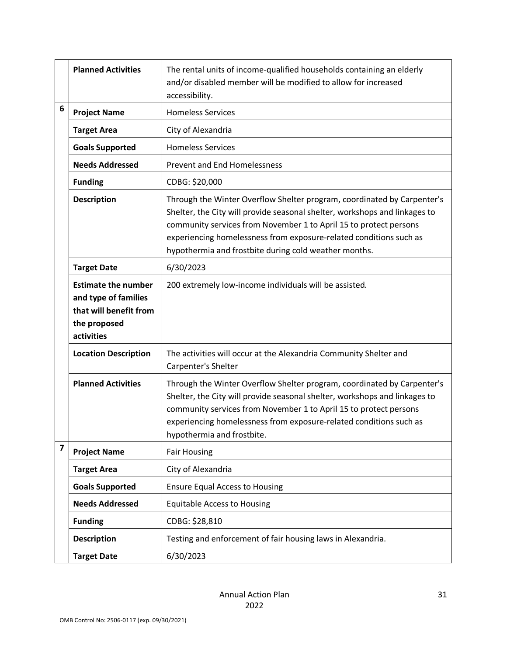|                    | <b>Planned Activities</b>                                                                                  | The rental units of income-qualified households containing an elderly<br>and/or disabled member will be modified to allow for increased<br>accessibility.                                                                                                                                                                                                 |
|--------------------|------------------------------------------------------------------------------------------------------------|-----------------------------------------------------------------------------------------------------------------------------------------------------------------------------------------------------------------------------------------------------------------------------------------------------------------------------------------------------------|
| 6                  | <b>Project Name</b>                                                                                        | <b>Homeless Services</b>                                                                                                                                                                                                                                                                                                                                  |
|                    | <b>Target Area</b>                                                                                         | City of Alexandria                                                                                                                                                                                                                                                                                                                                        |
|                    | <b>Goals Supported</b>                                                                                     | <b>Homeless Services</b>                                                                                                                                                                                                                                                                                                                                  |
|                    | <b>Needs Addressed</b>                                                                                     | <b>Prevent and End Homelessness</b>                                                                                                                                                                                                                                                                                                                       |
|                    | <b>Funding</b>                                                                                             | CDBG: \$20,000                                                                                                                                                                                                                                                                                                                                            |
|                    | <b>Description</b>                                                                                         | Through the Winter Overflow Shelter program, coordinated by Carpenter's<br>Shelter, the City will provide seasonal shelter, workshops and linkages to<br>community services from November 1 to April 15 to protect persons<br>experiencing homelessness from exposure-related conditions such as<br>hypothermia and frostbite during cold weather months. |
| <b>Target Date</b> |                                                                                                            | 6/30/2023                                                                                                                                                                                                                                                                                                                                                 |
|                    | <b>Estimate the number</b><br>and type of families<br>that will benefit from<br>the proposed<br>activities | 200 extremely low-income individuals will be assisted.                                                                                                                                                                                                                                                                                                    |
|                    | <b>Location Description</b>                                                                                | The activities will occur at the Alexandria Community Shelter and<br>Carpenter's Shelter                                                                                                                                                                                                                                                                  |
|                    | <b>Planned Activities</b>                                                                                  | Through the Winter Overflow Shelter program, coordinated by Carpenter's<br>Shelter, the City will provide seasonal shelter, workshops and linkages to<br>community services from November 1 to April 15 to protect persons<br>experiencing homelessness from exposure-related conditions such as<br>hypothermia and frostbite.                            |
| 7                  | <b>Project Name</b>                                                                                        | <b>Fair Housing</b>                                                                                                                                                                                                                                                                                                                                       |
|                    | <b>Target Area</b>                                                                                         | City of Alexandria                                                                                                                                                                                                                                                                                                                                        |
|                    | <b>Goals Supported</b>                                                                                     | <b>Ensure Equal Access to Housing</b>                                                                                                                                                                                                                                                                                                                     |
|                    | <b>Needs Addressed</b>                                                                                     | <b>Equitable Access to Housing</b>                                                                                                                                                                                                                                                                                                                        |
|                    | <b>Funding</b>                                                                                             | CDBG: \$28,810                                                                                                                                                                                                                                                                                                                                            |
|                    | <b>Description</b>                                                                                         | Testing and enforcement of fair housing laws in Alexandria.                                                                                                                                                                                                                                                                                               |
|                    | <b>Target Date</b>                                                                                         | 6/30/2023                                                                                                                                                                                                                                                                                                                                                 |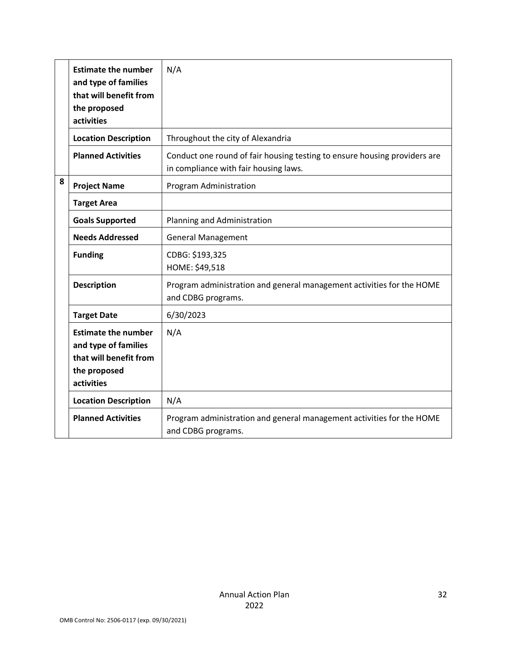|   | <b>Estimate the number</b><br>and type of families<br>that will benefit from<br>the proposed<br>activities | N/A                                                                                                                |
|---|------------------------------------------------------------------------------------------------------------|--------------------------------------------------------------------------------------------------------------------|
|   | <b>Location Description</b>                                                                                | Throughout the city of Alexandria                                                                                  |
|   | <b>Planned Activities</b>                                                                                  | Conduct one round of fair housing testing to ensure housing providers are<br>in compliance with fair housing laws. |
| 8 | <b>Project Name</b>                                                                                        | Program Administration                                                                                             |
|   | <b>Target Area</b>                                                                                         |                                                                                                                    |
|   | <b>Goals Supported</b>                                                                                     | Planning and Administration                                                                                        |
|   | <b>Needs Addressed</b>                                                                                     | <b>General Management</b>                                                                                          |
|   | <b>Funding</b>                                                                                             | CDBG: \$193,325<br>HOME: \$49,518                                                                                  |
|   | <b>Description</b>                                                                                         | Program administration and general management activities for the HOME<br>and CDBG programs.                        |
|   | <b>Target Date</b>                                                                                         | 6/30/2023                                                                                                          |
|   | <b>Estimate the number</b><br>and type of families<br>that will benefit from<br>the proposed<br>activities | N/A                                                                                                                |
|   | <b>Location Description</b>                                                                                | N/A                                                                                                                |
|   | <b>Planned Activities</b>                                                                                  | Program administration and general management activities for the HOME<br>and CDBG programs.                        |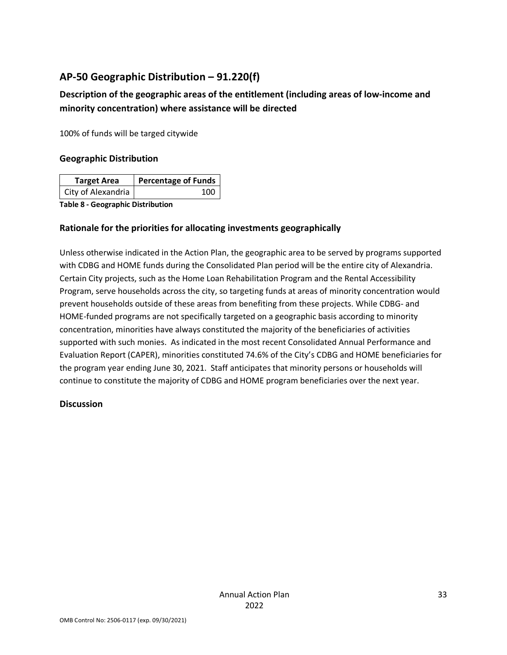## <span id="page-33-0"></span>**AP-50 Geographic Distribution – 91.220(f)**

## **Description of the geographic areas of the entitlement (including areas of low-income and minority concentration) where assistance will be directed**

100% of funds will be targed citywide

#### **Geographic Distribution**

| <b>Target Area</b> | <b>Percentage of Funds</b> |
|--------------------|----------------------------|
| City of Alexandria | 100                        |

**Table 8 - Geographic Distribution** 

## **Rationale for the priorities for allocating investments geographically**

Unless otherwise indicated in the Action Plan, the geographic area to be served by programs supported with CDBG and HOME funds during the Consolidated Plan period will be the entire city of Alexandria. Certain City projects, such as the Home Loan Rehabilitation Program and the Rental Accessibility Program, serve households across the city, so targeting funds at areas of minority concentration would prevent households outside of these areas from benefiting from these projects. While CDBG- and HOME-funded programs are not specifically targeted on a geographic basis according to minority concentration, minorities have always constituted the majority of the beneficiaries of activities supported with such monies. As indicated in the most recent Consolidated Annual Performance and Evaluation Report (CAPER), minorities constituted 74.6% of the City's CDBG and HOME beneficiaries for the program year ending June 30, 2021. Staff anticipates that minority persons or households will continue to constitute the majority of CDBG and HOME program beneficiaries over the next year.

## **Discussion**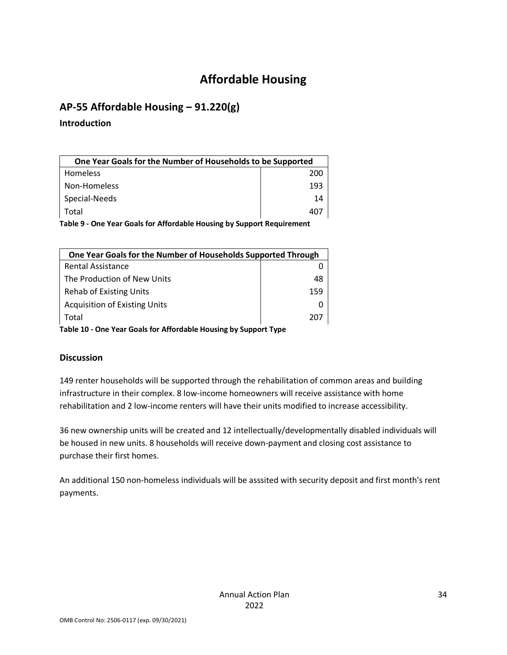# **Affordable Housing**

## <span id="page-34-1"></span><span id="page-34-0"></span>**AP-55 Affordable Housing – 91.220(g)**

#### **Introduction**

| One Year Goals for the Number of Households to be Supported            |     |  |
|------------------------------------------------------------------------|-----|--|
| <b>Homeless</b>                                                        | 200 |  |
| Non-Homeless                                                           | 193 |  |
| Special-Needs                                                          | 14  |  |
| Total                                                                  | 407 |  |
| Table 9 - One Year Goals for Affordable Housing by Support Requirement |     |  |

| One Year Goals for the Number of Households Supported Through |     |
|---------------------------------------------------------------|-----|
| <b>Rental Assistance</b>                                      |     |
| The Production of New Units                                   | 48  |
| <b>Rehab of Existing Units</b>                                | 159 |
| <b>Acquisition of Existing Units</b>                          |     |
| Total                                                         | 207 |
|                                                               |     |

**Table 10 - One Year Goals for Affordable Housing by Support Type**

## **Discussion**

149 renter households will be supported through the rehabilitation of common areas and building infrastructure in their complex. 8 low-income homeowners will receive assistance with home rehabilitation and 2 low-income renters will have their units modified to increase accessibility.

36 new ownership units will be created and 12 intellectually/developmentally disabled individuals will be housed in new units. 8 households will receive down-payment and closing cost assistance to purchase their first homes.

An additional 150 non-homeless individuals will be asssited with security deposit and first month's rent payments.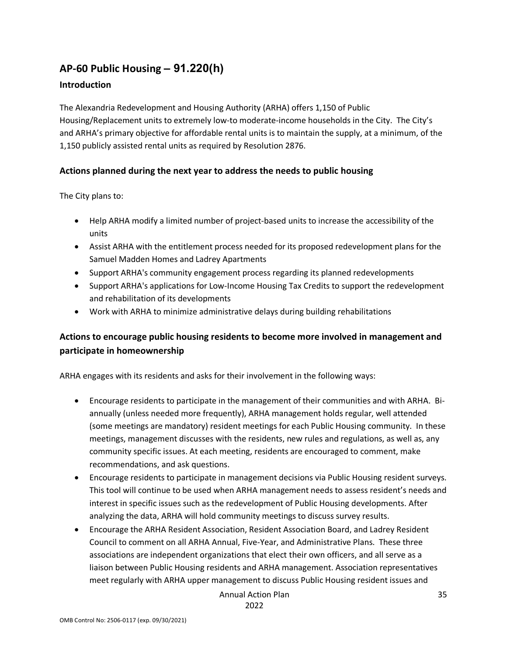## <span id="page-35-0"></span>**AP-60 Public Housing** *–* **91.220(h)**

#### **Introduction**

The Alexandria Redevelopment and Housing Authority (ARHA) offers 1,150 of Public Housing/Replacement units to extremely low-to moderate-income households in the City. The City's and ARHA's primary objective for affordable rental units is to maintain the supply, at a minimum, of the 1,150 publicly assisted rental units as required by Resolution 2876.

## **Actions planned during the next year to address the needs to public housing**

The City plans to:

- Help ARHA modify a limited number of project-based units to increase the accessibility of the units
- Assist ARHA with the entitlement process needed for its proposed redevelopment plans for the Samuel Madden Homes and Ladrey Apartments
- Support ARHA's community engagement process regarding its planned redevelopments
- Support ARHA's applications for Low-Income Housing Tax Credits to support the redevelopment and rehabilitation of its developments
- Work with ARHA to minimize administrative delays during building rehabilitations

## **Actions to encourage public housing residents to become more involved in management and participate in homeownership**

ARHA engages with its residents and asks for their involvement in the following ways:

- Encourage residents to participate in the management of their communities and with ARHA. Biannually (unless needed more frequently), ARHA management holds regular, well attended (some meetings are mandatory) resident meetings for each Public Housing community. In these meetings, management discusses with the residents, new rules and regulations, as well as, any community specific issues. At each meeting, residents are encouraged to comment, make recommendations, and ask questions.
- Encourage residents to participate in management decisions via Public Housing resident surveys. This tool will continue to be used when ARHA management needs to assess resident's needs and interest in specific issues such as the redevelopment of Public Housing developments. After analyzing the data, ARHA will hold community meetings to discuss survey results.
- Encourage the ARHA Resident Association, Resident Association Board, and Ladrey Resident Council to comment on all ARHA Annual, Five-Year, and Administrative Plans. These three associations are independent organizations that elect their own officers, and all serve as a liaison between Public Housing residents and ARHA management. Association representatives meet regularly with ARHA upper management to discuss Public Housing resident issues and

Annual Action Plan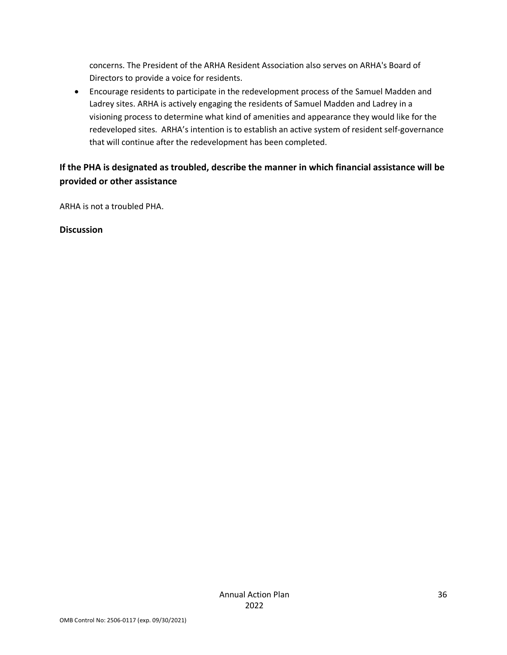concerns. The President of the ARHA Resident Association also serves on ARHA's Board of Directors to provide a voice for residents.

• Encourage residents to participate in the redevelopment process of the Samuel Madden and Ladrey sites. ARHA is actively engaging the residents of Samuel Madden and Ladrey in a visioning process to determine what kind of amenities and appearance they would like for the redeveloped sites. ARHA's intention is to establish an active system of resident self-governance that will continue after the redevelopment has been completed.

## **If the PHA is designated as troubled, describe the manner in which financial assistance will be provided or other assistance**

ARHA is not a troubled PHA.

**Discussion**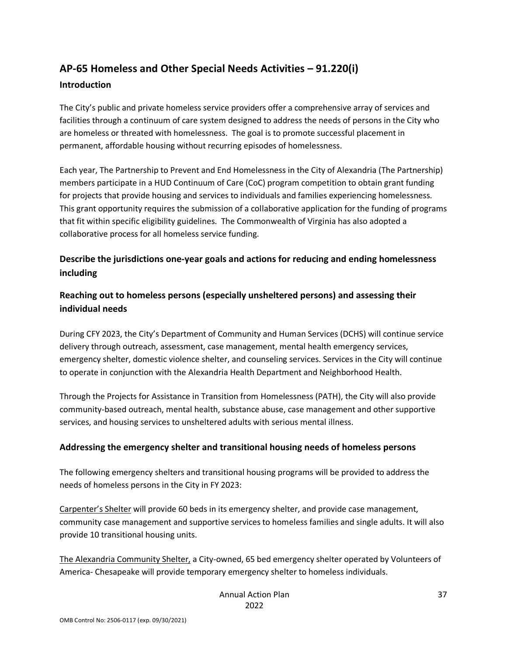# <span id="page-37-0"></span>**AP-65 Homeless and Other Special Needs Activities – 91.220(i)**

#### **Introduction**

The City's public and private homeless service providers offer a comprehensive array of services and facilities through a continuum of care system designed to address the needs of persons in the City who are homeless or threated with homelessness. The goal is to promote successful placement in permanent, affordable housing without recurring episodes of homelessness.

Each year, The Partnership to Prevent and End Homelessness in the City of Alexandria (The Partnership) members participate in a HUD Continuum of Care (CoC) program competition to obtain grant funding for projects that provide housing and services to individuals and families experiencing homelessness. This grant opportunity requires the submission of a collaborative application for the funding of programs that fit within specific eligibility guidelines. The Commonwealth of Virginia has also adopted a collaborative process for all homeless service funding.

## **Describe the jurisdictions one-year goals and actions for reducing and ending homelessness including**

## **Reaching out to homeless persons (especially unsheltered persons) and assessing their individual needs**

During CFY 2023, the City's Department of Community and Human Services (DCHS) will continue service delivery through outreach, assessment, case management, mental health emergency services, emergency shelter, domestic violence shelter, and counseling services. Services in the City will continue to operate in conjunction with the Alexandria Health Department and Neighborhood Health.

Through the Projects for Assistance in Transition from Homelessness (PATH), the City will also provide community-based outreach, mental health, substance abuse, case management and other supportive services, and housing services to unsheltered adults with serious mental illness.

## **Addressing the emergency shelter and transitional housing needs of homeless persons**

The following emergency shelters and transitional housing programs will be provided to address the needs of homeless persons in the City in FY 2023:

Carpenter's Shelter will provide 60 beds in its emergency shelter, and provide case management, community case management and supportive services to homeless families and single adults. It will also provide 10 transitional housing units.

The Alexandria Community Shelter, a City-owned, 65 bed emergency shelter operated by Volunteers of America- Chesapeake will provide temporary emergency shelter to homeless individuals.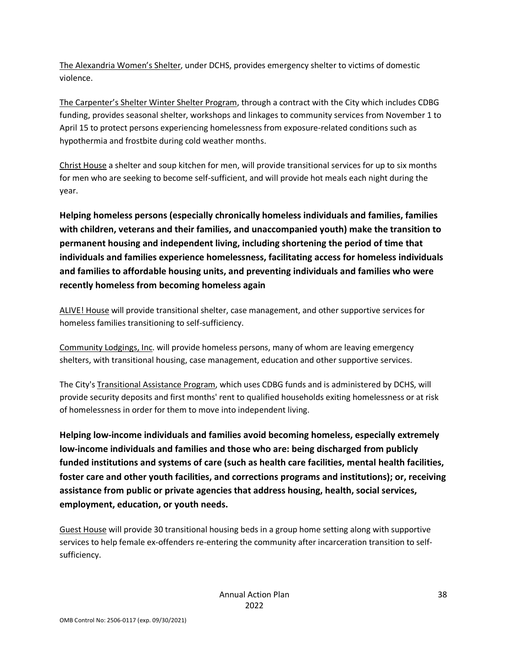The Alexandria Women's Shelter, under DCHS, provides emergency shelter to victims of domestic violence.

The Carpenter's Shelter Winter Shelter Program, through a contract with the City which includes CDBG funding, provides seasonal shelter, workshops and linkages to community services from November 1 to April 15 to protect persons experiencing homelessness from exposure-related conditions such as hypothermia and frostbite during cold weather months.

Christ House a shelter and soup kitchen for men, will provide transitional services for up to six months for men who are seeking to become self-sufficient, and will provide hot meals each night during the year.

**Helping homeless persons (especially chronically homeless individuals and families, families with children, veterans and their families, and unaccompanied youth) make the transition to permanent housing and independent living, including shortening the period of time that individuals and families experience homelessness, facilitating access for homeless individuals and families to affordable housing units, and preventing individuals and families who were recently homeless from becoming homeless again**

ALIVE! House will provide transitional shelter, case management, and other supportive services for homeless families transitioning to self-sufficiency.

Community Lodgings, Inc. will provide homeless persons, many of whom are leaving emergency shelters, with transitional housing, case management, education and other supportive services.

The City's Transitional Assistance Program, which uses CDBG funds and is administered by DCHS, will provide security deposits and first months' rent to qualified households exiting homelessness or at risk of homelessness in order for them to move into independent living.

**Helping low-income individuals and families avoid becoming homeless, especially extremely low-income individuals and families and those who are: being discharged from publicly funded institutions and systems of care (such as health care facilities, mental health facilities, foster care and other youth facilities, and corrections programs and institutions); or, receiving assistance from public or private agencies that address housing, health, social services, employment, education, or youth needs.**

Guest House will provide 30 transitional housing beds in a group home setting along with supportive services to help female ex-offenders re-entering the community after incarceration transition to selfsufficiency.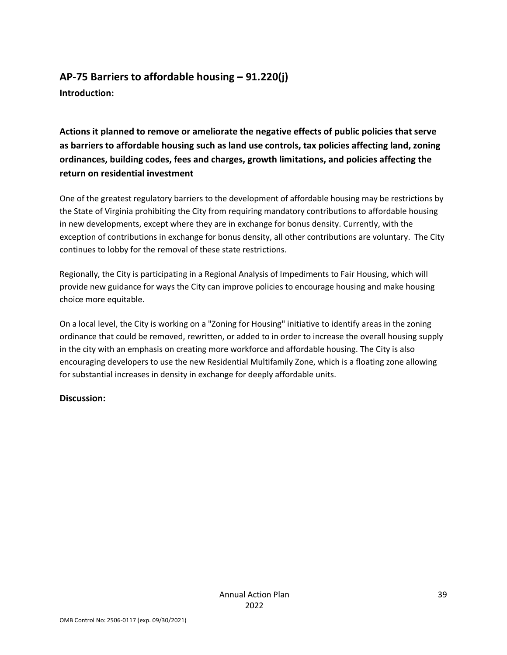## <span id="page-39-0"></span>**AP-75 Barriers to affordable housing – 91.220(j) Introduction:**

**Actions it planned to remove or ameliorate the negative effects of public policies that serve as barriers to affordable housing such as land use controls, tax policies affecting land, zoning ordinances, building codes, fees and charges, growth limitations, and policies affecting the return on residential investment**

One of the greatest regulatory barriers to the development of affordable housing may be restrictions by the State of Virginia prohibiting the City from requiring mandatory contributions to affordable housing in new developments, except where they are in exchange for bonus density. Currently, with the exception of contributions in exchange for bonus density, all other contributions are voluntary. The City continues to lobby for the removal of these state restrictions.

Regionally, the City is participating in a Regional Analysis of Impediments to Fair Housing, which will provide new guidance for ways the City can improve policies to encourage housing and make housing choice more equitable.

On a local level, the City is working on a "Zoning for Housing" initiative to identify areas in the zoning ordinance that could be removed, rewritten, or added to in order to increase the overall housing supply in the city with an emphasis on creating more workforce and affordable housing. The City is also encouraging developers to use the new Residential Multifamily Zone, which is a floating zone allowing for substantial increases in density in exchange for deeply affordable units.

## **Discussion:**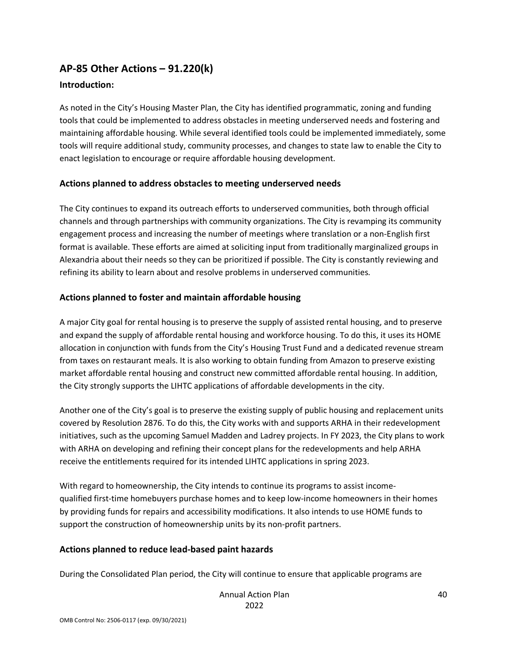## <span id="page-40-0"></span>**AP-85 Other Actions – 91.220(k)**

#### **Introduction:**

As noted in the City's Housing Master Plan, the City has identified programmatic, zoning and funding tools that could be implemented to address obstacles in meeting underserved needs and fostering and maintaining affordable housing. While several identified tools could be implemented immediately, some tools will require additional study, community processes, and changes to state law to enable the City to enact legislation to encourage or require affordable housing development.

#### **Actions planned to address obstacles to meeting underserved needs**

The City continues to expand its outreach efforts to underserved communities, both through official channels and through partnerships with community organizations. The City is revamping its community engagement process and increasing the number of meetings where translation or a non-English first format is available. These efforts are aimed at soliciting input from traditionally marginalized groups in Alexandria about their needs so they can be prioritized if possible. The City is constantly reviewing and refining its ability to learn about and resolve problems in underserved communities.

#### **Actions planned to foster and maintain affordable housing**

A major City goal for rental housing is to preserve the supply of assisted rental housing, and to preserve and expand the supply of affordable rental housing and workforce housing. To do this, it uses its HOME allocation in conjunction with funds from the City's Housing Trust Fund and a dedicated revenue stream from taxes on restaurant meals. It is also working to obtain funding from Amazon to preserve existing market affordable rental housing and construct new committed affordable rental housing. In addition, the City strongly supports the LIHTC applications of affordable developments in the city.

Another one of the City's goal is to preserve the existing supply of public housing and replacement units covered by Resolution 2876. To do this, the City works with and supports ARHA in their redevelopment initiatives, such as the upcoming Samuel Madden and Ladrey projects. In FY 2023, the City plans to work with ARHA on developing and refining their concept plans for the redevelopments and help ARHA receive the entitlements required for its intended LIHTC applications in spring 2023.

With regard to homeownership, the City intends to continue its programs to assist incomequalified first-time homebuyers purchase homes and to keep low-income homeowners in their homes by providing funds for repairs and accessibility modifications. It also intends to use HOME funds to support the construction of homeownership units by its non-profit partners.

#### **Actions planned to reduce lead-based paint hazards**

During the Consolidated Plan period, the City will continue to ensure that applicable programs are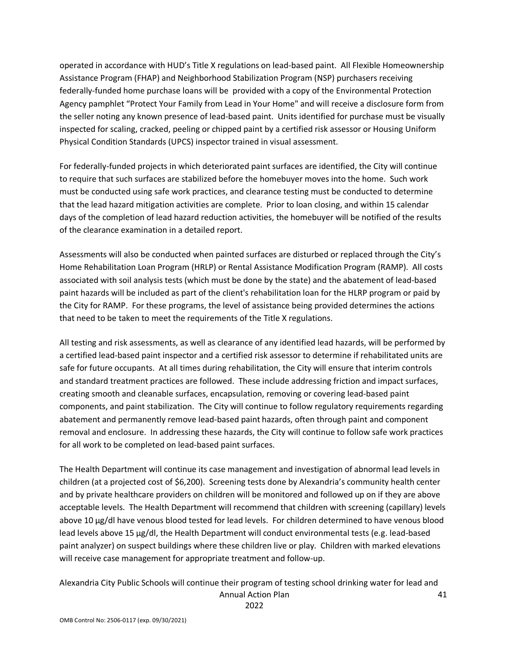operated in accordance with HUD's Title X regulations on lead-based paint. All Flexible Homeownership Assistance Program (FHAP) and Neighborhood Stabilization Program (NSP) purchasers receiving federally-funded home purchase loans will be provided with a copy of the Environmental Protection Agency pamphlet "Protect Your Family from Lead in Your Home" and will receive a disclosure form from the seller noting any known presence of lead-based paint. Units identified for purchase must be visually inspected for scaling, cracked, peeling or chipped paint by a certified risk assessor or Housing Uniform Physical Condition Standards (UPCS) inspector trained in visual assessment.

For federally-funded projects in which deteriorated paint surfaces are identified, the City will continue to require that such surfaces are stabilized before the homebuyer moves into the home. Such work must be conducted using safe work practices, and clearance testing must be conducted to determine that the lead hazard mitigation activities are complete. Prior to loan closing, and within 15 calendar days of the completion of lead hazard reduction activities, the homebuyer will be notified of the results of the clearance examination in a detailed report.

Assessments will also be conducted when painted surfaces are disturbed or replaced through the City's Home Rehabilitation Loan Program (HRLP) or Rental Assistance Modification Program (RAMP). All costs associated with soil analysis tests (which must be done by the state) and the abatement of lead-based paint hazards will be included as part of the client's rehabilitation loan for the HLRP program or paid by the City for RAMP. For these programs, the level of assistance being provided determines the actions that need to be taken to meet the requirements of the Title X regulations.

All testing and risk assessments, as well as clearance of any identified lead hazards, will be performed by a certified lead-based paint inspector and a certified risk assessor to determine if rehabilitated units are safe for future occupants. At all times during rehabilitation, the City will ensure that interim controls and standard treatment practices are followed. These include addressing friction and impact surfaces, creating smooth and cleanable surfaces, encapsulation, removing or covering lead-based paint components, and paint stabilization. The City will continue to follow regulatory requirements regarding abatement and permanently remove lead-based paint hazards, often through paint and component removal and enclosure. In addressing these hazards, the City will continue to follow safe work practices for all work to be completed on lead-based paint surfaces.

The Health Department will continue its case management and investigation of abnormal lead levels in children (at a projected cost of \$6,200). Screening tests done by Alexandria's community health center and by private healthcare providers on children will be monitored and followed up on if they are above acceptable levels. The Health Department will recommend that children with screening (capillary) levels above 10 µg/dl have venous blood tested for lead levels. For children determined to have venous blood lead levels above 15 µg/dl, the Health Department will conduct environmental tests (e.g. lead-based paint analyzer) on suspect buildings where these children live or play. Children with marked elevations will receive case management for appropriate treatment and follow-up.

Annual Action Plan Alexandria City Public Schools will continue their program of testing school drinking water for lead and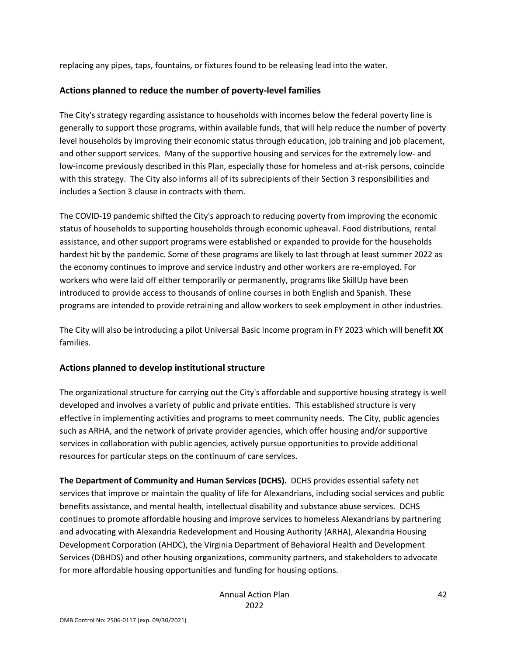replacing any pipes, taps, fountains, or fixtures found to be releasing lead into the water.

#### **Actions planned to reduce the number of poverty-level families**

The City's strategy regarding assistance to households with incomes below the federal poverty line is generally to support those programs, within available funds, that will help reduce the number of poverty level households by improving their economic status through education, job training and job placement, and other support services. Many of the supportive housing and services for the extremely low- and low-income previously described in this Plan, especially those for homeless and at-risk persons, coincide with this strategy. The City also informs all of its subrecipients of their Section 3 responsibilities and includes a Section 3 clause in contracts with them.

The COVID-19 pandemic shifted the City's approach to reducing poverty from improving the economic status of households to supporting households through economic upheaval. Food distributions, rental assistance, and other support programs were established or expanded to provide for the households hardest hit by the pandemic. Some of these programs are likely to last through at least summer 2022 as the economy continues to improve and service industry and other workers are re-employed. For workers who were laid off either temporarily or permanently, programs like SkillUp have been introduced to provide access to thousands of online courses in both English and Spanish. These programs are intended to provide retraining and allow workers to seek employment in other industries.

The City will also be introducing a pilot Universal Basic Income program in FY 2023 which will benefit **XX** families.

## **Actions planned to develop institutional structure**

The organizational structure for carrying out the City's affordable and supportive housing strategy is well developed and involves a variety of public and private entities. This established structure is very effective in implementing activities and programs to meet community needs. The City, public agencies such as ARHA, and the network of private provider agencies, which offer housing and/or supportive services in collaboration with public agencies, actively pursue opportunities to provide additional resources for particular steps on the continuum of care services.

**The Department of Community and Human Services (DCHS).** DCHS provides essential safety net services that improve or maintain the quality of life for Alexandrians, including social services and public benefits assistance, and mental health, intellectual disability and substance abuse services. DCHS continues to promote affordable housing and improve services to homeless Alexandrians by partnering and advocating with Alexandria Redevelopment and Housing Authority (ARHA), Alexandria Housing Development Corporation (AHDC), the Virginia Department of Behavioral Health and Development Services (DBHDS) and other housing organizations, community partners, and stakeholders to advocate for more affordable housing opportunities and funding for housing options.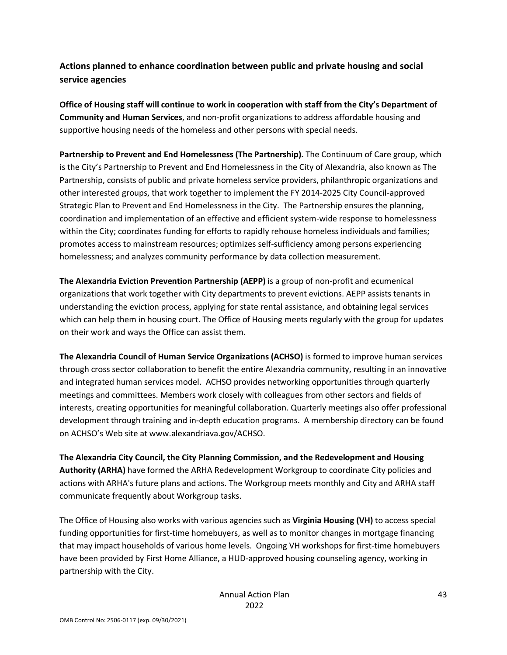## **Actions planned to enhance coordination between public and private housing and social service agencies**

**Office of Housing staff will continue to work in cooperation with staff from the City's Department of Community and Human Services**, and non-profit organizations to address affordable housing and supportive housing needs of the homeless and other persons with special needs.

**Partnership to Prevent and End Homelessness (The Partnership).** The Continuum of Care group, which is the City's Partnership to Prevent and End Homelessness in the City of Alexandria, also known as The Partnership, consists of public and private homeless service providers, philanthropic organizations and other interested groups, that work together to implement the FY 2014-2025 City Council-approved Strategic Plan to Prevent and End Homelessness in the City. The Partnership ensures the planning, coordination and implementation of an effective and efficient system-wide response to homelessness within the City; coordinates funding for efforts to rapidly rehouse homeless individuals and families; promotes access to mainstream resources; optimizes self-sufficiency among persons experiencing homelessness; and analyzes community performance by data collection measurement.

**The Alexandria Eviction Prevention Partnership (AEPP)** is a group of non-profit and ecumenical organizations that work together with City departments to prevent evictions. AEPP assists tenants in understanding the eviction process, applying for state rental assistance, and obtaining legal services which can help them in housing court. The Office of Housing meets regularly with the group for updates on their work and ways the Office can assist them.

**The Alexandria Council of Human Service Organizations (ACHSO)** is formed to improve human services through cross sector collaboration to benefit the entire Alexandria community, resulting in an innovative and integrated human services model. ACHSO provides networking opportunities through quarterly meetings and committees. Members work closely with colleagues from other sectors and fields of interests, creating opportunities for meaningful collaboration. Quarterly meetings also offer professional development through training and in-depth education programs. A membership directory can be found on ACHSO's Web site at www.alexandriava.gov/ACHSO.

**The Alexandria City Council, the City Planning Commission, and the Redevelopment and Housing Authority (ARHA)** have formed the ARHA Redevelopment Workgroup to coordinate City policies and actions with ARHA's future plans and actions. The Workgroup meets monthly and City and ARHA staff communicate frequently about Workgroup tasks.

The Office of Housing also works with various agencies such as **Virginia Housing (VH)** to access special funding opportunities for first-time homebuyers, as well as to monitor changes in mortgage financing that may impact households of various home levels. Ongoing VH workshops for first-time homebuyers have been provided by First Home Alliance, a HUD-approved housing counseling agency, working in partnership with the City.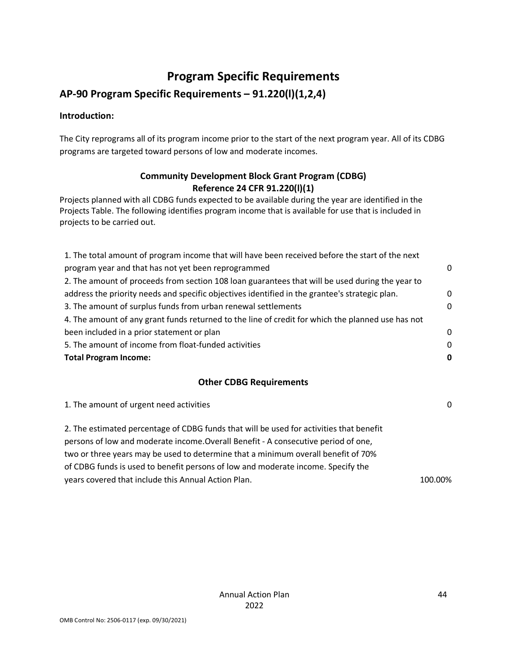# **Program Specific Requirements**

## <span id="page-44-0"></span>**AP-90 Program Specific Requirements – 91.220(l)(1,2,4)**

#### **Introduction:**

The City reprograms all of its program income prior to the start of the next program year. All of its CDBG programs are targeted toward persons of low and moderate incomes.

## **Community Development Block Grant Program (CDBG) Reference 24 CFR 91.220(l)(1)**

Projects planned with all CDBG funds expected to be available during the year are identified in the Projects Table. The following identifies program income that is available for use that is included in projects to be carried out.

| 1. The total amount of program income that will have been received before the start of the next   |          |
|---------------------------------------------------------------------------------------------------|----------|
| program year and that has not yet been reprogrammed                                               | $\Omega$ |
| 2. The amount of proceeds from section 108 loan guarantees that will be used during the year to   |          |
| address the priority needs and specific objectives identified in the grantee's strategic plan.    | $\Omega$ |
| 3. The amount of surplus funds from urban renewal settlements                                     | $\Omega$ |
| 4. The amount of any grant funds returned to the line of credit for which the planned use has not |          |
| been included in a prior statement or plan                                                        | $\Omega$ |
| 5. The amount of income from float-funded activities                                              | $\Omega$ |
| <b>Total Program Income:</b>                                                                      |          |

## **Other CDBG Requirements**

| 1. The amount of urgent need activities                                                                                                                                                                                                                                                                                                                                                                       | $\mathbf{0}$ |
|---------------------------------------------------------------------------------------------------------------------------------------------------------------------------------------------------------------------------------------------------------------------------------------------------------------------------------------------------------------------------------------------------------------|--------------|
| 2. The estimated percentage of CDBG funds that will be used for activities that benefit<br>persons of low and moderate income. Overall Benefit - A consecutive period of one,<br>two or three years may be used to determine that a minimum overall benefit of 70%<br>of CDBG funds is used to benefit persons of low and moderate income. Specify the<br>years covered that include this Annual Action Plan. | 100.00%      |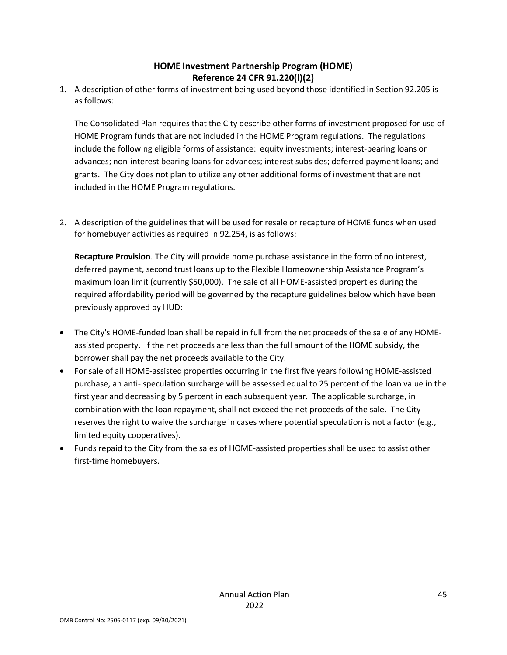## **HOME Investment Partnership Program (HOME) Reference 24 CFR 91.220(l)(2)**

1. A description of other forms of investment being used beyond those identified in Section 92.205 is as follows:

The Consolidated Plan requires that the City describe other forms of investment proposed for use of HOME Program funds that are not included in the HOME Program regulations. The regulations include the following eligible forms of assistance: equity investments; interest-bearing loans or advances; non-interest bearing loans for advances; interest subsides; deferred payment loans; and grants. The City does not plan to utilize any other additional forms of investment that are not included in the HOME Program regulations.

2. A description of the guidelines that will be used for resale or recapture of HOME funds when used for homebuyer activities as required in 92.254, is as follows:

**Recapture Provision**. The City will provide home purchase assistance in the form of no interest, deferred payment, second trust loans up to the Flexible Homeownership Assistance Program's maximum loan limit (currently \$50,000). The sale of all HOME-assisted properties during the required affordability period will be governed by the recapture guidelines below which have been previously approved by HUD:

- The City's HOME-funded loan shall be repaid in full from the net proceeds of the sale of any HOMEassisted property. If the net proceeds are less than the full amount of the HOME subsidy, the borrower shall pay the net proceeds available to the City.
- For sale of all HOME-assisted properties occurring in the first five years following HOME-assisted purchase, an anti- speculation surcharge will be assessed equal to 25 percent of the loan value in the first year and decreasing by 5 percent in each subsequent year. The applicable surcharge, in combination with the loan repayment, shall not exceed the net proceeds of the sale. The City reserves the right to waive the surcharge in cases where potential speculation is not a factor (e.g., limited equity cooperatives).
- Funds repaid to the City from the sales of HOME-assisted properties shall be used to assist other first-time homebuyers.